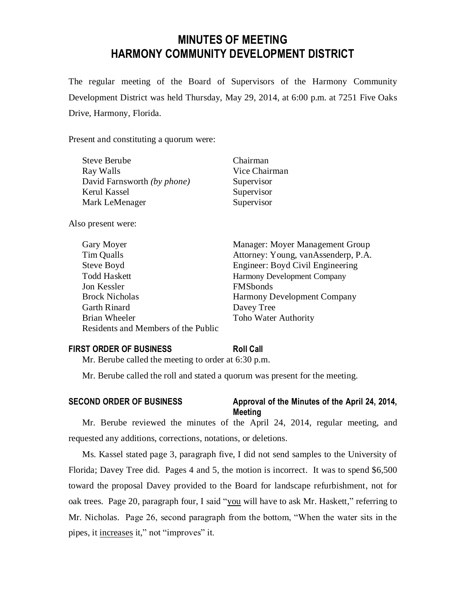# **MINUTES OF MEETING HARMONY COMMUNITY DEVELOPMENT DISTRICT**

The regular meeting of the Board of Supervisors of the Harmony Community Development District was held Thursday, May 29, 2014, at 6:00 p.m. at 7251 Five Oaks Drive, Harmony, Florida.

Present and constituting a quorum were:

| <b>Steve Berube</b>         | Chairman      |
|-----------------------------|---------------|
| Ray Walls                   | Vice Chairman |
| David Farnsworth (by phone) | Supervisor    |
| Kerul Kassel                | Supervisor    |
| Mark LeMenager              | Supervisor    |
|                             |               |

Also present were:

| Gary Moyer                          | Manager: Moyer Management Group     |
|-------------------------------------|-------------------------------------|
| Tim Qualls                          | Attorney: Young, vanAssenderp, P.A. |
| Steve Boyd                          | Engineer: Boyd Civil Engineering    |
| <b>Todd Haskett</b>                 | Harmony Development Company         |
| Jon Kessler                         | <b>FMSbonds</b>                     |
| <b>Brock Nicholas</b>               | <b>Harmony Development Company</b>  |
| <b>Garth Rinard</b>                 | Davey Tree                          |
| <b>Brian Wheeler</b>                | Toho Water Authority                |
| Residents and Members of the Public |                                     |

## **FIRST ORDER OF BUSINESS Roll Call**

Mr. Berube called the meeting to order at 6:30 p.m.

Mr. Berube called the roll and stated a quorum was present for the meeting.

## **SECOND ORDER OF BUSINESS Approval of the Minutes of the April 24, 2014, Meeting**

Mr. Berube reviewed the minutes of the April 24, 2014, regular meeting, and requested any additions, corrections, notations, or deletions.

Ms. Kassel stated page 3, paragraph five, I did not send samples to the University of Florida; Davey Tree did. Pages 4 and 5, the motion is incorrect. It was to spend \$6,500 toward the proposal Davey provided to the Board for landscape refurbishment, not for oak trees. Page 20, paragraph four, I said "you will have to ask Mr. Haskett," referring to Mr. Nicholas. Page 26, second paragraph from the bottom, "When the water sits in the pipes, it increases it," not "improves" it.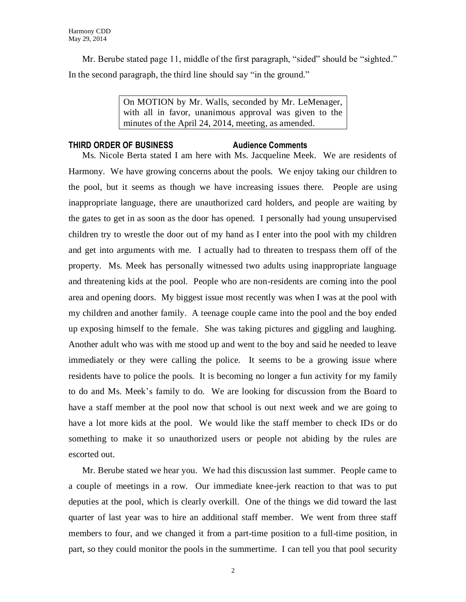Mr. Berube stated page 11, middle of the first paragraph, "sided" should be "sighted." In the second paragraph, the third line should say "in the ground."

> On MOTION by Mr. Walls, seconded by Mr. LeMenager, with all in favor, unanimous approval was given to the minutes of the April 24, 2014, meeting, as amended.

## **THIRD ORDER OF BUSINESS Audience Comments**

Ms. Nicole Berta stated I am here with Ms. Jacqueline Meek. We are residents of Harmony. We have growing concerns about the pools. We enjoy taking our children to the pool, but it seems as though we have increasing issues there. People are using inappropriate language, there are unauthorized card holders, and people are waiting by the gates to get in as soon as the door has opened. I personally had young unsupervised children try to wrestle the door out of my hand as I enter into the pool with my children and get into arguments with me. I actually had to threaten to trespass them off of the property. Ms. Meek has personally witnessed two adults using inappropriate language and threatening kids at the pool. People who are non-residents are coming into the pool area and opening doors. My biggest issue most recently was when I was at the pool with my children and another family. A teenage couple came into the pool and the boy ended up exposing himself to the female. She was taking pictures and giggling and laughing. Another adult who was with me stood up and went to the boy and said he needed to leave immediately or they were calling the police. It seems to be a growing issue where residents have to police the pools. It is becoming no longer a fun activity for my family to do and Ms. Meek's family to do. We are looking for discussion from the Board to have a staff member at the pool now that school is out next week and we are going to have a lot more kids at the pool. We would like the staff member to check IDs or do something to make it so unauthorized users or people not abiding by the rules are escorted out.

Mr. Berube stated we hear you. We had this discussion last summer. People came to a couple of meetings in a row. Our immediate knee-jerk reaction to that was to put deputies at the pool, which is clearly overkill. One of the things we did toward the last quarter of last year was to hire an additional staff member. We went from three staff members to four, and we changed it from a part-time position to a full-time position, in part, so they could monitor the pools in the summertime. I can tell you that pool security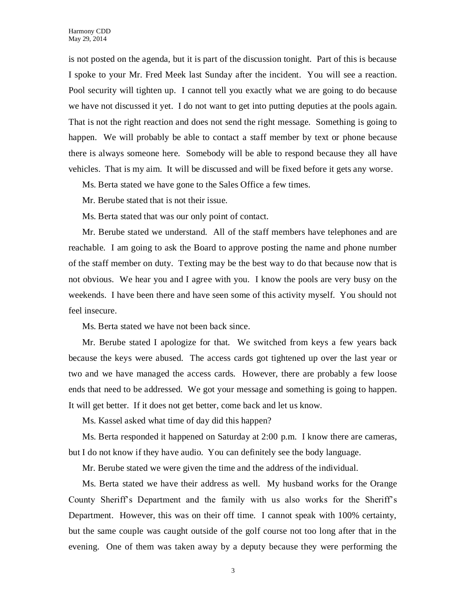is not posted on the agenda, but it is part of the discussion tonight. Part of this is because I spoke to your Mr. Fred Meek last Sunday after the incident. You will see a reaction. Pool security will tighten up. I cannot tell you exactly what we are going to do because we have not discussed it yet. I do not want to get into putting deputies at the pools again. That is not the right reaction and does not send the right message. Something is going to happen. We will probably be able to contact a staff member by text or phone because there is always someone here. Somebody will be able to respond because they all have vehicles. That is my aim. It will be discussed and will be fixed before it gets any worse.

Ms. Berta stated we have gone to the Sales Office a few times.

Mr. Berube stated that is not their issue.

Ms. Berta stated that was our only point of contact.

Mr. Berube stated we understand. All of the staff members have telephones and are reachable. I am going to ask the Board to approve posting the name and phone number of the staff member on duty. Texting may be the best way to do that because now that is not obvious. We hear you and I agree with you. I know the pools are very busy on the weekends. I have been there and have seen some of this activity myself. You should not feel insecure.

Ms. Berta stated we have not been back since.

Mr. Berube stated I apologize for that. We switched from keys a few years back because the keys were abused. The access cards got tightened up over the last year or two and we have managed the access cards. However, there are probably a few loose ends that need to be addressed. We got your message and something is going to happen. It will get better. If it does not get better, come back and let us know.

Ms. Kassel asked what time of day did this happen?

Ms. Berta responded it happened on Saturday at 2:00 p.m. I know there are cameras, but I do not know if they have audio. You can definitely see the body language.

Mr. Berube stated we were given the time and the address of the individual.

Ms. Berta stated we have their address as well. My husband works for the Orange County Sheriff's Department and the family with us also works for the Sheriff's Department. However, this was on their off time. I cannot speak with 100% certainty, but the same couple was caught outside of the golf course not too long after that in the evening. One of them was taken away by a deputy because they were performing the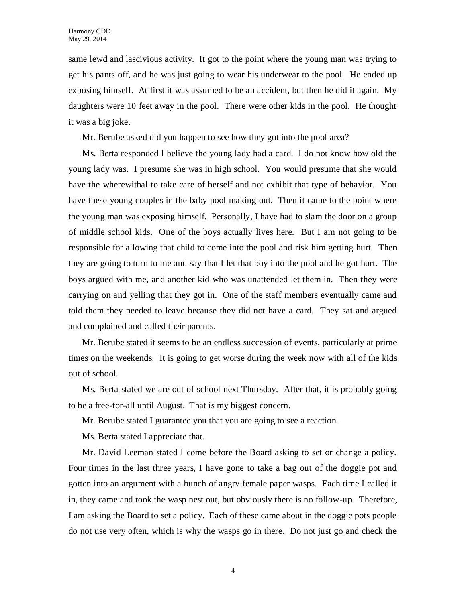same lewd and lascivious activity. It got to the point where the young man was trying to get his pants off, and he was just going to wear his underwear to the pool. He ended up exposing himself. At first it was assumed to be an accident, but then he did it again. My daughters were 10 feet away in the pool. There were other kids in the pool. He thought it was a big joke.

Mr. Berube asked did you happen to see how they got into the pool area?

Ms. Berta responded I believe the young lady had a card. I do not know how old the young lady was. I presume she was in high school. You would presume that she would have the wherewithal to take care of herself and not exhibit that type of behavior. You have these young couples in the baby pool making out. Then it came to the point where the young man was exposing himself. Personally, I have had to slam the door on a group of middle school kids. One of the boys actually lives here. But I am not going to be responsible for allowing that child to come into the pool and risk him getting hurt. Then they are going to turn to me and say that I let that boy into the pool and he got hurt. The boys argued with me, and another kid who was unattended let them in. Then they were carrying on and yelling that they got in. One of the staff members eventually came and told them they needed to leave because they did not have a card. They sat and argued and complained and called their parents.

Mr. Berube stated it seems to be an endless succession of events, particularly at prime times on the weekends. It is going to get worse during the week now with all of the kids out of school.

Ms. Berta stated we are out of school next Thursday. After that, it is probably going to be a free-for-all until August. That is my biggest concern.

Mr. Berube stated I guarantee you that you are going to see a reaction.

Ms. Berta stated I appreciate that.

Mr. David Leeman stated I come before the Board asking to set or change a policy. Four times in the last three years, I have gone to take a bag out of the doggie pot and gotten into an argument with a bunch of angry female paper wasps. Each time I called it in, they came and took the wasp nest out, but obviously there is no follow-up. Therefore, I am asking the Board to set a policy. Each of these came about in the doggie pots people do not use very often, which is why the wasps go in there. Do not just go and check the

4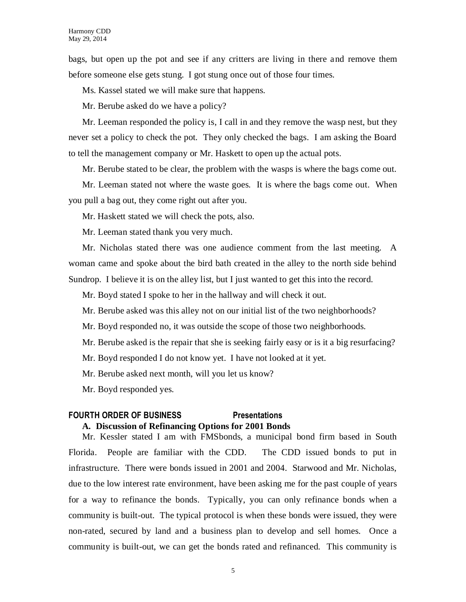bags, but open up the pot and see if any critters are living in there and remove them before someone else gets stung. I got stung once out of those four times.

Ms. Kassel stated we will make sure that happens.

Mr. Berube asked do we have a policy?

Mr. Leeman responded the policy is, I call in and they remove the wasp nest, but they never set a policy to check the pot. They only checked the bags. I am asking the Board to tell the management company or Mr. Haskett to open up the actual pots.

Mr. Berube stated to be clear, the problem with the wasps is where the bags come out.

Mr. Leeman stated not where the waste goes. It is where the bags come out. When you pull a bag out, they come right out after you.

Mr. Haskett stated we will check the pots, also.

Mr. Leeman stated thank you very much.

Mr. Nicholas stated there was one audience comment from the last meeting. A woman came and spoke about the bird bath created in the alley to the north side behind Sundrop. I believe it is on the alley list, but I just wanted to get this into the record.

Mr. Boyd stated I spoke to her in the hallway and will check it out.

Mr. Berube asked was this alley not on our initial list of the two neighborhoods?

Mr. Boyd responded no, it was outside the scope of those two neighborhoods.

Mr. Berube asked is the repair that she is seeking fairly easy or is it a big resurfacing?

Mr. Boyd responded I do not know yet. I have not looked at it yet.

Mr. Berube asked next month, will you let us know?

Mr. Boyd responded yes.

## **FOURTH ORDER OF BUSINESS Presentations**

## **A. Discussion of Refinancing Options for 2001 Bonds**

Mr. Kessler stated I am with FMSbonds, a municipal bond firm based in South Florida. People are familiar with the CDD. The CDD issued bonds to put in infrastructure. There were bonds issued in 2001 and 2004. Starwood and Mr. Nicholas, due to the low interest rate environment, have been asking me for the past couple of years for a way to refinance the bonds. Typically, you can only refinance bonds when a community is built-out. The typical protocol is when these bonds were issued, they were non-rated, secured by land and a business plan to develop and sell homes. Once a community is built-out, we can get the bonds rated and refinanced. This community is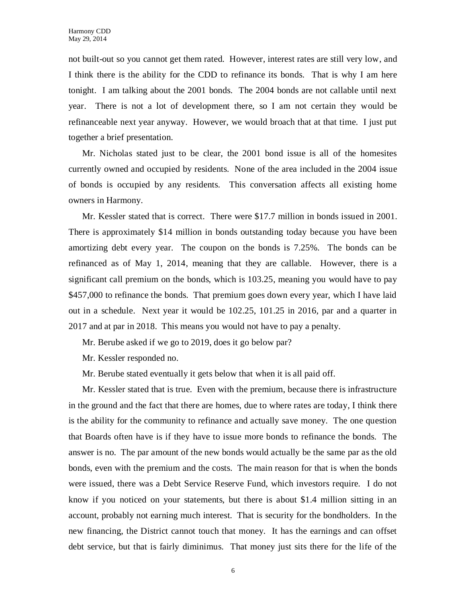not built-out so you cannot get them rated. However, interest rates are still very low, and I think there is the ability for the CDD to refinance its bonds. That is why I am here tonight. I am talking about the 2001 bonds. The 2004 bonds are not callable until next year. There is not a lot of development there, so I am not certain they would be refinanceable next year anyway. However, we would broach that at that time. I just put together a brief presentation.

Mr. Nicholas stated just to be clear, the 2001 bond issue is all of the homesites currently owned and occupied by residents. None of the area included in the 2004 issue of bonds is occupied by any residents. This conversation affects all existing home owners in Harmony.

Mr. Kessler stated that is correct. There were \$17.7 million in bonds issued in 2001. There is approximately \$14 million in bonds outstanding today because you have been amortizing debt every year. The coupon on the bonds is 7.25%. The bonds can be refinanced as of May 1, 2014, meaning that they are callable. However, there is a significant call premium on the bonds, which is 103.25, meaning you would have to pay \$457,000 to refinance the bonds. That premium goes down every year, which I have laid out in a schedule. Next year it would be 102.25, 101.25 in 2016, par and a quarter in 2017 and at par in 2018. This means you would not have to pay a penalty.

Mr. Berube asked if we go to 2019, does it go below par?

Mr. Kessler responded no.

Mr. Berube stated eventually it gets below that when it is all paid off.

Mr. Kessler stated that is true. Even with the premium, because there is infrastructure in the ground and the fact that there are homes, due to where rates are today, I think there is the ability for the community to refinance and actually save money. The one question that Boards often have is if they have to issue more bonds to refinance the bonds. The answer is no. The par amount of the new bonds would actually be the same par as the old bonds, even with the premium and the costs. The main reason for that is when the bonds were issued, there was a Debt Service Reserve Fund, which investors require. I do not know if you noticed on your statements, but there is about \$1.4 million sitting in an account, probably not earning much interest. That is security for the bondholders. In the new financing, the District cannot touch that money. It has the earnings and can offset debt service, but that is fairly diminimus. That money just sits there for the life of the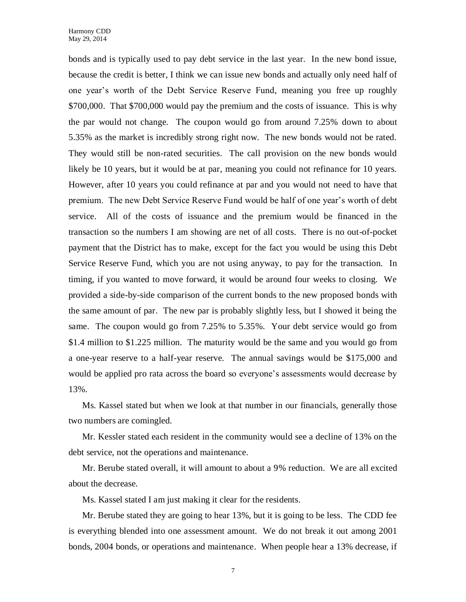bonds and is typically used to pay debt service in the last year. In the new bond issue, because the credit is better, I think we can issue new bonds and actually only need half of one year's worth of the Debt Service Reserve Fund, meaning you free up roughly \$700,000. That \$700,000 would pay the premium and the costs of issuance. This is why the par would not change. The coupon would go from around 7.25% down to about 5.35% as the market is incredibly strong right now. The new bonds would not be rated. They would still be non-rated securities. The call provision on the new bonds would likely be 10 years, but it would be at par, meaning you could not refinance for 10 years. However, after 10 years you could refinance at par and you would not need to have that premium. The new Debt Service Reserve Fund would be half of one year's worth of debt service. All of the costs of issuance and the premium would be financed in the transaction so the numbers I am showing are net of all costs. There is no out-of-pocket payment that the District has to make, except for the fact you would be using this Debt Service Reserve Fund, which you are not using anyway, to pay for the transaction. In timing, if you wanted to move forward, it would be around four weeks to closing. We provided a side-by-side comparison of the current bonds to the new proposed bonds with the same amount of par. The new par is probably slightly less, but I showed it being the same. The coupon would go from 7.25% to 5.35%. Your debt service would go from \$1.4 million to \$1.225 million. The maturity would be the same and you would go from a one-year reserve to a half-year reserve. The annual savings would be \$175,000 and would be applied pro rata across the board so everyone's assessments would decrease by 13%.

Ms. Kassel stated but when we look at that number in our financials, generally those two numbers are comingled.

Mr. Kessler stated each resident in the community would see a decline of 13% on the debt service, not the operations and maintenance.

Mr. Berube stated overall, it will amount to about a 9% reduction. We are all excited about the decrease.

Ms. Kassel stated I am just making it clear for the residents.

Mr. Berube stated they are going to hear 13%, but it is going to be less. The CDD fee is everything blended into one assessment amount. We do not break it out among 2001 bonds, 2004 bonds, or operations and maintenance. When people hear a 13% decrease, if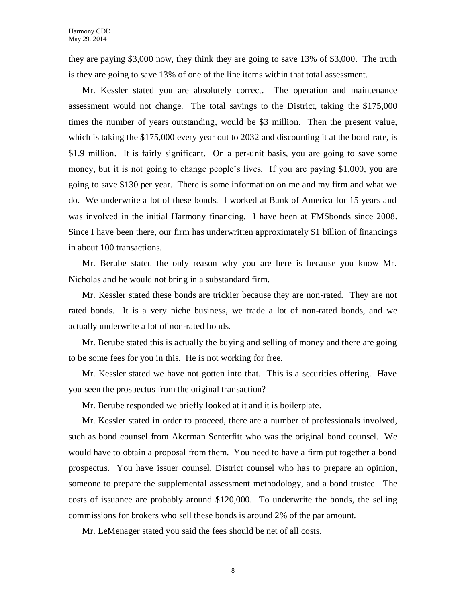they are paying \$3,000 now, they think they are going to save 13% of \$3,000. The truth is they are going to save 13% of one of the line items within that total assessment.

Mr. Kessler stated you are absolutely correct. The operation and maintenance assessment would not change. The total savings to the District, taking the \$175,000 times the number of years outstanding, would be \$3 million. Then the present value, which is taking the \$175,000 every year out to 2032 and discounting it at the bond rate, is \$1.9 million. It is fairly significant. On a per-unit basis, you are going to save some money, but it is not going to change people's lives. If you are paying \$1,000, you are going to save \$130 per year. There is some information on me and my firm and what we do. We underwrite a lot of these bonds. I worked at Bank of America for 15 years and was involved in the initial Harmony financing. I have been at FMSbonds since 2008. Since I have been there, our firm has underwritten approximately \$1 billion of financings in about 100 transactions.

Mr. Berube stated the only reason why you are here is because you know Mr. Nicholas and he would not bring in a substandard firm.

Mr. Kessler stated these bonds are trickier because they are non-rated. They are not rated bonds. It is a very niche business, we trade a lot of non-rated bonds, and we actually underwrite a lot of non-rated bonds.

Mr. Berube stated this is actually the buying and selling of money and there are going to be some fees for you in this. He is not working for free.

Mr. Kessler stated we have not gotten into that. This is a securities offering. Have you seen the prospectus from the original transaction?

Mr. Berube responded we briefly looked at it and it is boilerplate.

Mr. Kessler stated in order to proceed, there are a number of professionals involved, such as bond counsel from Akerman Senterfitt who was the original bond counsel. We would have to obtain a proposal from them. You need to have a firm put together a bond prospectus. You have issuer counsel, District counsel who has to prepare an opinion, someone to prepare the supplemental assessment methodology, and a bond trustee. The costs of issuance are probably around \$120,000. To underwrite the bonds, the selling commissions for brokers who sell these bonds is around 2% of the par amount.

Mr. LeMenager stated you said the fees should be net of all costs.

8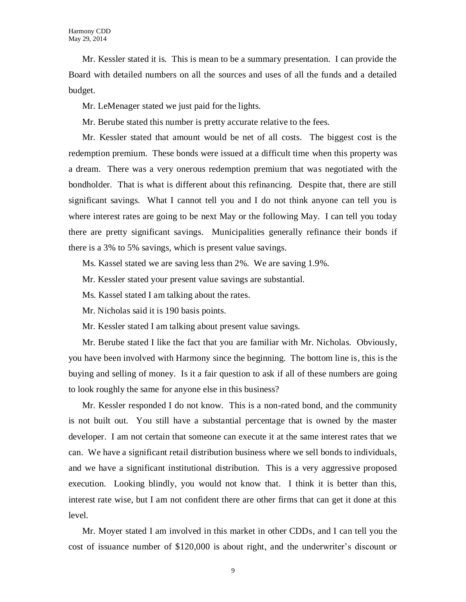Mr. Kessler stated it is. This is mean to be a summary presentation. I can provide the Board with detailed numbers on all the sources and uses of all the funds and a detailed budget.

Mr. LeMenager stated we just paid for the lights.

Mr. Berube stated this number is pretty accurate relative to the fees.

Mr. Kessler stated that amount would be net of all costs. The biggest cost is the redemption premium. These bonds were issued at a difficult time when this property was a dream. There was a very onerous redemption premium that was negotiated with the bondholder. That is what is different about this refinancing. Despite that, there are still significant savings. What I cannot tell you and I do not think anyone can tell you is where interest rates are going to be next May or the following May. I can tell you today there are pretty significant savings. Municipalities generally refinance their bonds if there is a 3% to 5% savings, which is present value savings.

Ms. Kassel stated we are saving less than 2%. We are saving 1.9%.

Mr. Kessler stated your present value savings are substantial.

Ms. Kassel stated I am talking about the rates.

Mr. Nicholas said it is 190 basis points.

Mr. Kessler stated I am talking about present value savings.

Mr. Berube stated I like the fact that you are familiar with Mr. Nicholas. Obviously, you have been involved with Harmony since the beginning. The bottom line is, this is the buying and selling of money. Is it a fair question to ask if all of these numbers are going to look roughly the same for anyone else in this business?

Mr. Kessler responded I do not know. This is a non-rated bond, and the community is not built out. You still have a substantial percentage that is owned by the master developer. I am not certain that someone can execute it at the same interest rates that we can. We have a significant retail distribution business where we sell bonds to individuals, and we have a significant institutional distribution. This is a very aggressive proposed execution. Looking blindly, you would not know that. I think it is better than this, interest rate wise, but I am not confident there are other firms that can get it done at this level.

Mr. Moyer stated I am involved in this market in other CDDs, and I can tell you the cost of issuance number of \$120,000 is about right, and the underwriter's discount or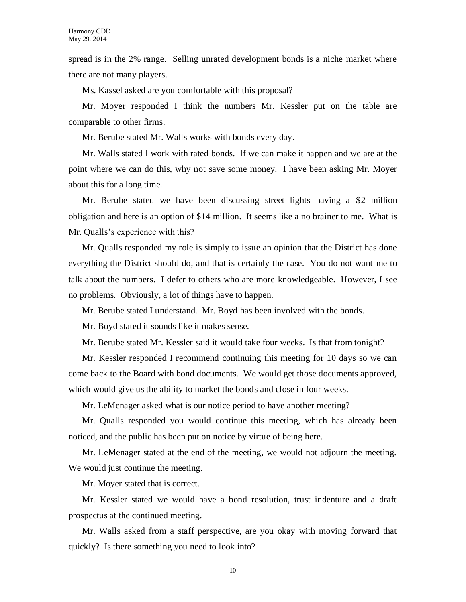spread is in the 2% range. Selling unrated development bonds is a niche market where there are not many players.

Ms. Kassel asked are you comfortable with this proposal?

Mr. Moyer responded I think the numbers Mr. Kessler put on the table are comparable to other firms.

Mr. Berube stated Mr. Walls works with bonds every day.

Mr. Walls stated I work with rated bonds. If we can make it happen and we are at the point where we can do this, why not save some money. I have been asking Mr. Moyer about this for a long time.

Mr. Berube stated we have been discussing street lights having a \$2 million obligation and here is an option of \$14 million. It seems like a no brainer to me. What is Mr. Qualls's experience with this?

Mr. Qualls responded my role is simply to issue an opinion that the District has done everything the District should do, and that is certainly the case. You do not want me to talk about the numbers. I defer to others who are more knowledgeable. However, I see no problems. Obviously, a lot of things have to happen.

Mr. Berube stated I understand. Mr. Boyd has been involved with the bonds.

Mr. Boyd stated it sounds like it makes sense.

Mr. Berube stated Mr. Kessler said it would take four weeks. Is that from tonight?

Mr. Kessler responded I recommend continuing this meeting for 10 days so we can come back to the Board with bond documents. We would get those documents approved, which would give us the ability to market the bonds and close in four weeks.

Mr. LeMenager asked what is our notice period to have another meeting?

Mr. Qualls responded you would continue this meeting, which has already been noticed, and the public has been put on notice by virtue of being here.

Mr. LeMenager stated at the end of the meeting, we would not adjourn the meeting. We would just continue the meeting.

Mr. Moyer stated that is correct.

Mr. Kessler stated we would have a bond resolution, trust indenture and a draft prospectus at the continued meeting.

Mr. Walls asked from a staff perspective, are you okay with moving forward that quickly? Is there something you need to look into?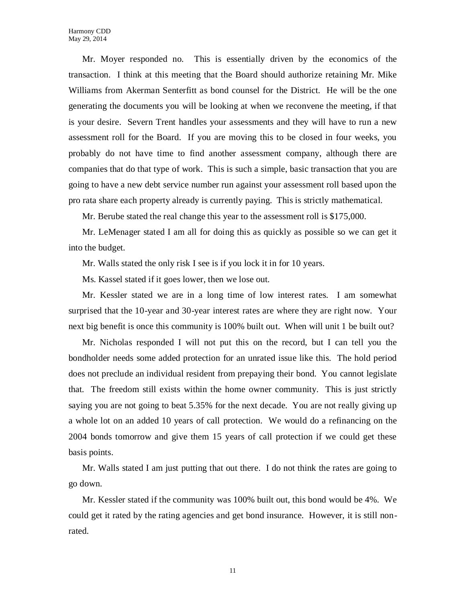Mr. Moyer responded no. This is essentially driven by the economics of the transaction. I think at this meeting that the Board should authorize retaining Mr. Mike Williams from Akerman Senterfitt as bond counsel for the District. He will be the one generating the documents you will be looking at when we reconvene the meeting, if that is your desire. Severn Trent handles your assessments and they will have to run a new assessment roll for the Board. If you are moving this to be closed in four weeks, you probably do not have time to find another assessment company, although there are companies that do that type of work. This is such a simple, basic transaction that you are going to have a new debt service number run against your assessment roll based upon the pro rata share each property already is currently paying. This is strictly mathematical.

Mr. Berube stated the real change this year to the assessment roll is \$175,000.

Mr. LeMenager stated I am all for doing this as quickly as possible so we can get it into the budget.

Mr. Walls stated the only risk I see is if you lock it in for 10 years.

Ms. Kassel stated if it goes lower, then we lose out.

Mr. Kessler stated we are in a long time of low interest rates. I am somewhat surprised that the 10-year and 30-year interest rates are where they are right now. Your next big benefit is once this community is 100% built out. When will unit 1 be built out?

Mr. Nicholas responded I will not put this on the record, but I can tell you the bondholder needs some added protection for an unrated issue like this. The hold period does not preclude an individual resident from prepaying their bond. You cannot legislate that. The freedom still exists within the home owner community. This is just strictly saying you are not going to beat 5.35% for the next decade. You are not really giving up a whole lot on an added 10 years of call protection. We would do a refinancing on the 2004 bonds tomorrow and give them 15 years of call protection if we could get these basis points.

Mr. Walls stated I am just putting that out there. I do not think the rates are going to go down.

Mr. Kessler stated if the community was 100% built out, this bond would be 4%. We could get it rated by the rating agencies and get bond insurance. However, it is still nonrated.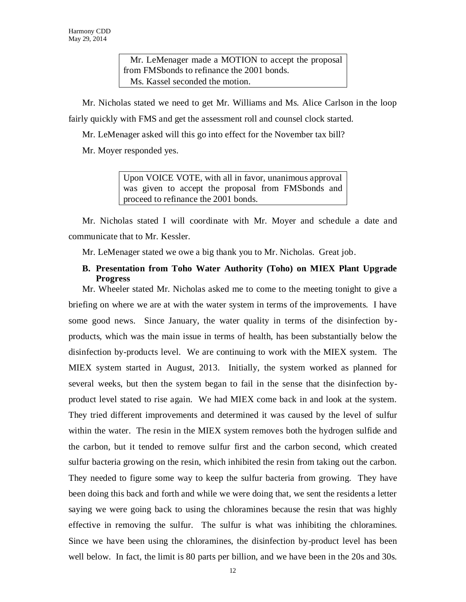Mr. LeMenager made a MOTION to accept the proposal from FMSbonds to refinance the 2001 bonds. Ms. Kassel seconded the motion.

Mr. Nicholas stated we need to get Mr. Williams and Ms. Alice Carlson in the loop fairly quickly with FMS and get the assessment roll and counsel clock started.

Mr. LeMenager asked will this go into effect for the November tax bill?

Mr. Moyer responded yes.

Upon VOICE VOTE, with all in favor, unanimous approval was given to accept the proposal from FMSbonds and proceed to refinance the 2001 bonds.

Mr. Nicholas stated I will coordinate with Mr. Moyer and schedule a date and communicate that to Mr. Kessler.

Mr. LeMenager stated we owe a big thank you to Mr. Nicholas. Great job.

## **B. Presentation from Toho Water Authority (Toho) on MIEX Plant Upgrade Progress**

Mr. Wheeler stated Mr. Nicholas asked me to come to the meeting tonight to give a briefing on where we are at with the water system in terms of the improvements. I have some good news. Since January, the water quality in terms of the disinfection byproducts, which was the main issue in terms of health, has been substantially below the disinfection by-products level. We are continuing to work with the MIEX system. The MIEX system started in August, 2013. Initially, the system worked as planned for several weeks, but then the system began to fail in the sense that the disinfection byproduct level stated to rise again. We had MIEX come back in and look at the system. They tried different improvements and determined it was caused by the level of sulfur within the water. The resin in the MIEX system removes both the hydrogen sulfide and the carbon, but it tended to remove sulfur first and the carbon second, which created sulfur bacteria growing on the resin, which inhibited the resin from taking out the carbon. They needed to figure some way to keep the sulfur bacteria from growing. They have been doing this back and forth and while we were doing that, we sent the residents a letter saying we were going back to using the chloramines because the resin that was highly effective in removing the sulfur. The sulfur is what was inhibiting the chloramines. Since we have been using the chloramines, the disinfection by-product level has been well below. In fact, the limit is 80 parts per billion, and we have been in the 20s and 30s.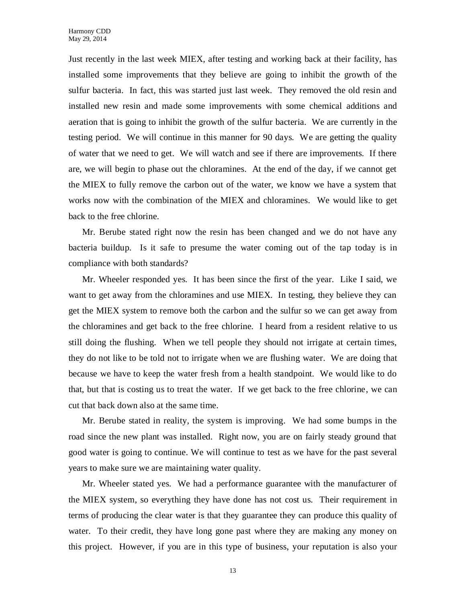Just recently in the last week MIEX, after testing and working back at their facility, has installed some improvements that they believe are going to inhibit the growth of the sulfur bacteria. In fact, this was started just last week. They removed the old resin and installed new resin and made some improvements with some chemical additions and aeration that is going to inhibit the growth of the sulfur bacteria. We are currently in the testing period. We will continue in this manner for 90 days. We are getting the quality of water that we need to get. We will watch and see if there are improvements. If there are, we will begin to phase out the chloramines. At the end of the day, if we cannot get the MIEX to fully remove the carbon out of the water, we know we have a system that works now with the combination of the MIEX and chloramines. We would like to get back to the free chlorine.

Mr. Berube stated right now the resin has been changed and we do not have any bacteria buildup. Is it safe to presume the water coming out of the tap today is in compliance with both standards?

Mr. Wheeler responded yes. It has been since the first of the year. Like I said, we want to get away from the chloramines and use MIEX. In testing, they believe they can get the MIEX system to remove both the carbon and the sulfur so we can get away from the chloramines and get back to the free chlorine. I heard from a resident relative to us still doing the flushing. When we tell people they should not irrigate at certain times, they do not like to be told not to irrigate when we are flushing water. We are doing that because we have to keep the water fresh from a health standpoint. We would like to do that, but that is costing us to treat the water. If we get back to the free chlorine, we can cut that back down also at the same time.

Mr. Berube stated in reality, the system is improving. We had some bumps in the road since the new plant was installed. Right now, you are on fairly steady ground that good water is going to continue. We will continue to test as we have for the past several years to make sure we are maintaining water quality.

Mr. Wheeler stated yes. We had a performance guarantee with the manufacturer of the MIEX system, so everything they have done has not cost us. Their requirement in terms of producing the clear water is that they guarantee they can produce this quality of water. To their credit, they have long gone past where they are making any money on this project. However, if you are in this type of business, your reputation is also your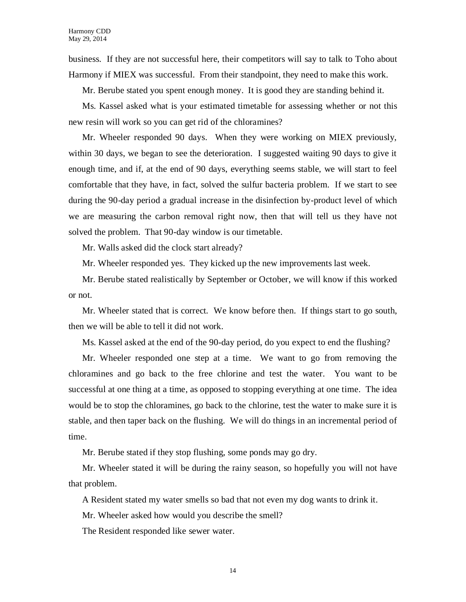business. If they are not successful here, their competitors will say to talk to Toho about Harmony if MIEX was successful. From their standpoint, they need to make this work.

Mr. Berube stated you spent enough money. It is good they are standing behind it.

Ms. Kassel asked what is your estimated timetable for assessing whether or not this new resin will work so you can get rid of the chloramines?

Mr. Wheeler responded 90 days. When they were working on MIEX previously, within 30 days, we began to see the deterioration. I suggested waiting 90 days to give it enough time, and if, at the end of 90 days, everything seems stable, we will start to feel comfortable that they have, in fact, solved the sulfur bacteria problem. If we start to see during the 90-day period a gradual increase in the disinfection by-product level of which we are measuring the carbon removal right now, then that will tell us they have not solved the problem. That 90-day window is our timetable.

Mr. Walls asked did the clock start already?

Mr. Wheeler responded yes. They kicked up the new improvements last week.

Mr. Berube stated realistically by September or October, we will know if this worked or not.

Mr. Wheeler stated that is correct. We know before then. If things start to go south, then we will be able to tell it did not work.

Ms. Kassel asked at the end of the 90-day period, do you expect to end the flushing?

Mr. Wheeler responded one step at a time. We want to go from removing the chloramines and go back to the free chlorine and test the water. You want to be successful at one thing at a time, as opposed to stopping everything at one time. The idea would be to stop the chloramines, go back to the chlorine, test the water to make sure it is stable, and then taper back on the flushing. We will do things in an incremental period of time.

Mr. Berube stated if they stop flushing, some ponds may go dry.

Mr. Wheeler stated it will be during the rainy season, so hopefully you will not have that problem.

A Resident stated my water smells so bad that not even my dog wants to drink it.

Mr. Wheeler asked how would you describe the smell?

The Resident responded like sewer water.

14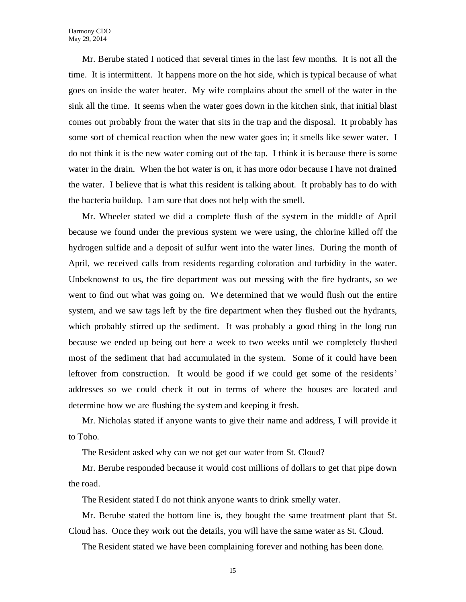Mr. Berube stated I noticed that several times in the last few months. It is not all the time. It is intermittent. It happens more on the hot side, which is typical because of what goes on inside the water heater. My wife complains about the smell of the water in the sink all the time. It seems when the water goes down in the kitchen sink, that initial blast comes out probably from the water that sits in the trap and the disposal. It probably has some sort of chemical reaction when the new water goes in; it smells like sewer water. I do not think it is the new water coming out of the tap. I think it is because there is some water in the drain. When the hot water is on, it has more odor because I have not drained the water. I believe that is what this resident is talking about. It probably has to do with the bacteria buildup. I am sure that does not help with the smell.

Mr. Wheeler stated we did a complete flush of the system in the middle of April because we found under the previous system we were using, the chlorine killed off the hydrogen sulfide and a deposit of sulfur went into the water lines. During the month of April, we received calls from residents regarding coloration and turbidity in the water. Unbeknownst to us, the fire department was out messing with the fire hydrants, so we went to find out what was going on. We determined that we would flush out the entire system, and we saw tags left by the fire department when they flushed out the hydrants, which probably stirred up the sediment. It was probably a good thing in the long run because we ended up being out here a week to two weeks until we completely flushed most of the sediment that had accumulated in the system. Some of it could have been leftover from construction. It would be good if we could get some of the residents' addresses so we could check it out in terms of where the houses are located and determine how we are flushing the system and keeping it fresh.

Mr. Nicholas stated if anyone wants to give their name and address, I will provide it to Toho.

The Resident asked why can we not get our water from St. Cloud?

Mr. Berube responded because it would cost millions of dollars to get that pipe down the road.

The Resident stated I do not think anyone wants to drink smelly water.

Mr. Berube stated the bottom line is, they bought the same treatment plant that St. Cloud has. Once they work out the details, you will have the same water as St. Cloud.

The Resident stated we have been complaining forever and nothing has been done.

15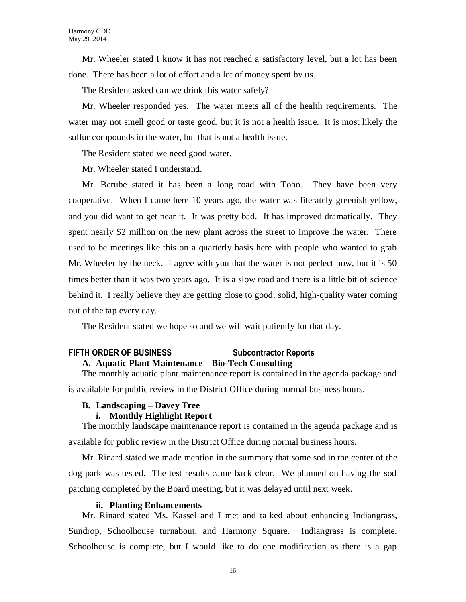Mr. Wheeler stated I know it has not reached a satisfactory level, but a lot has been done. There has been a lot of effort and a lot of money spent by us.

The Resident asked can we drink this water safely?

Mr. Wheeler responded yes. The water meets all of the health requirements. The water may not smell good or taste good, but it is not a health issue. It is most likely the sulfur compounds in the water, but that is not a health issue.

The Resident stated we need good water.

Mr. Wheeler stated I understand.

Mr. Berube stated it has been a long road with Toho. They have been very cooperative. When I came here 10 years ago, the water was literately greenish yellow, and you did want to get near it. It was pretty bad. It has improved dramatically. They spent nearly \$2 million on the new plant across the street to improve the water. There used to be meetings like this on a quarterly basis here with people who wanted to grab Mr. Wheeler by the neck. I agree with you that the water is not perfect now, but it is 50 times better than it was two years ago. It is a slow road and there is a little bit of science behind it. I really believe they are getting close to good, solid, high-quality water coming out of the tap every day.

The Resident stated we hope so and we will wait patiently for that day.

## **FIFTH ORDER OF BUSINESS Subcontractor Reports**

## **A. Aquatic Plant Maintenance – Bio-Tech Consulting**

The monthly aquatic plant maintenance report is contained in the agenda package and is available for public review in the District Office during normal business hours.

## **B. Landscaping – Davey Tree**

## **i. Monthly Highlight Report**

The monthly landscape maintenance report is contained in the agenda package and is available for public review in the District Office during normal business hours.

Mr. Rinard stated we made mention in the summary that some sod in the center of the dog park was tested. The test results came back clear. We planned on having the sod patching completed by the Board meeting, but it was delayed until next week.

## **ii. Planting Enhancements**

Mr. Rinard stated Ms. Kassel and I met and talked about enhancing Indiangrass, Sundrop, Schoolhouse turnabout, and Harmony Square. Indiangrass is complete. Schoolhouse is complete, but I would like to do one modification as there is a gap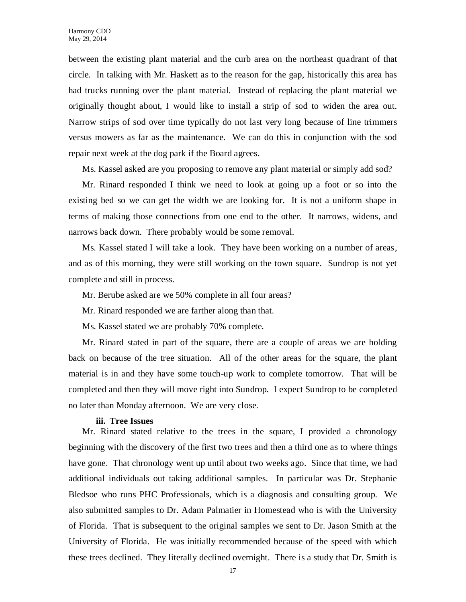between the existing plant material and the curb area on the northeast quadrant of that circle. In talking with Mr. Haskett as to the reason for the gap, historically this area has had trucks running over the plant material. Instead of replacing the plant material we originally thought about, I would like to install a strip of sod to widen the area out. Narrow strips of sod over time typically do not last very long because of line trimmers versus mowers as far as the maintenance. We can do this in conjunction with the sod repair next week at the dog park if the Board agrees.

Ms. Kassel asked are you proposing to remove any plant material or simply add sod?

Mr. Rinard responded I think we need to look at going up a foot or so into the existing bed so we can get the width we are looking for. It is not a uniform shape in terms of making those connections from one end to the other. It narrows, widens, and narrows back down. There probably would be some removal.

Ms. Kassel stated I will take a look. They have been working on a number of areas, and as of this morning, they were still working on the town square. Sundrop is not yet complete and still in process.

Mr. Berube asked are we 50% complete in all four areas?

Mr. Rinard responded we are farther along than that.

Ms. Kassel stated we are probably 70% complete.

Mr. Rinard stated in part of the square, there are a couple of areas we are holding back on because of the tree situation. All of the other areas for the square, the plant material is in and they have some touch-up work to complete tomorrow. That will be completed and then they will move right into Sundrop. I expect Sundrop to be completed no later than Monday afternoon. We are very close.

#### **iii. Tree Issues**

Mr. Rinard stated relative to the trees in the square, I provided a chronology beginning with the discovery of the first two trees and then a third one as to where things have gone. That chronology went up until about two weeks ago. Since that time, we had additional individuals out taking additional samples. In particular was Dr. Stephanie Bledsoe who runs PHC Professionals, which is a diagnosis and consulting group. We also submitted samples to Dr. Adam Palmatier in Homestead who is with the University of Florida. That is subsequent to the original samples we sent to Dr. Jason Smith at the University of Florida. He was initially recommended because of the speed with which these trees declined. They literally declined overnight. There is a study that Dr. Smith is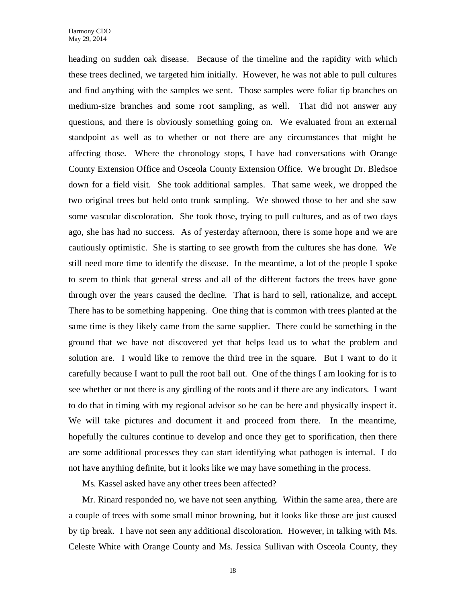heading on sudden oak disease. Because of the timeline and the rapidity with which these trees declined, we targeted him initially. However, he was not able to pull cultures and find anything with the samples we sent. Those samples were foliar tip branches on medium-size branches and some root sampling, as well. That did not answer any questions, and there is obviously something going on. We evaluated from an external standpoint as well as to whether or not there are any circumstances that might be affecting those. Where the chronology stops, I have had conversations with Orange County Extension Office and Osceola County Extension Office. We brought Dr. Bledsoe down for a field visit. She took additional samples. That same week, we dropped the two original trees but held onto trunk sampling. We showed those to her and she saw some vascular discoloration. She took those, trying to pull cultures, and as of two days ago, she has had no success. As of yesterday afternoon, there is some hope and we are cautiously optimistic. She is starting to see growth from the cultures she has done. We still need more time to identify the disease. In the meantime, a lot of the people I spoke to seem to think that general stress and all of the different factors the trees have gone through over the years caused the decline. That is hard to sell, rationalize, and accept. There has to be something happening. One thing that is common with trees planted at the same time is they likely came from the same supplier. There could be something in the ground that we have not discovered yet that helps lead us to what the problem and solution are. I would like to remove the third tree in the square. But I want to do it carefully because I want to pull the root ball out. One of the things I am looking for is to see whether or not there is any girdling of the roots and if there are any indicators. I want to do that in timing with my regional advisor so he can be here and physically inspect it. We will take pictures and document it and proceed from there. In the meantime, hopefully the cultures continue to develop and once they get to sporification, then there are some additional processes they can start identifying what pathogen is internal. I do not have anything definite, but it looks like we may have something in the process.

Ms. Kassel asked have any other trees been affected?

Mr. Rinard responded no, we have not seen anything. Within the same area, there are a couple of trees with some small minor browning, but it looks like those are just caused by tip break. I have not seen any additional discoloration. However, in talking with Ms. Celeste White with Orange County and Ms. Jessica Sullivan with Osceola County, they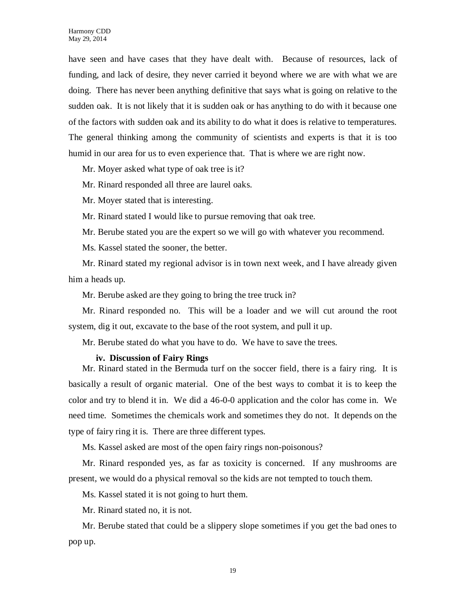have seen and have cases that they have dealt with. Because of resources, lack of funding, and lack of desire, they never carried it beyond where we are with what we are doing. There has never been anything definitive that says what is going on relative to the sudden oak. It is not likely that it is sudden oak or has anything to do with it because one of the factors with sudden oak and its ability to do what it does is relative to temperatures. The general thinking among the community of scientists and experts is that it is too humid in our area for us to even experience that. That is where we are right now.

Mr. Moyer asked what type of oak tree is it?

Mr. Rinard responded all three are laurel oaks.

Mr. Moyer stated that is interesting.

Mr. Rinard stated I would like to pursue removing that oak tree.

Mr. Berube stated you are the expert so we will go with whatever you recommend.

Ms. Kassel stated the sooner, the better.

Mr. Rinard stated my regional advisor is in town next week, and I have already given him a heads up.

Mr. Berube asked are they going to bring the tree truck in?

Mr. Rinard responded no. This will be a loader and we will cut around the root system, dig it out, excavate to the base of the root system, and pull it up.

Mr. Berube stated do what you have to do. We have to save the trees.

#### **iv. Discussion of Fairy Rings**

Mr. Rinard stated in the Bermuda turf on the soccer field, there is a fairy ring. It is basically a result of organic material. One of the best ways to combat it is to keep the color and try to blend it in. We did a 46-0-0 application and the color has come in. We need time. Sometimes the chemicals work and sometimes they do not. It depends on the type of fairy ring it is. There are three different types.

Ms. Kassel asked are most of the open fairy rings non-poisonous?

Mr. Rinard responded yes, as far as toxicity is concerned. If any mushrooms are present, we would do a physical removal so the kids are not tempted to touch them.

Ms. Kassel stated it is not going to hurt them.

Mr. Rinard stated no, it is not.

Mr. Berube stated that could be a slippery slope sometimes if you get the bad ones to pop up.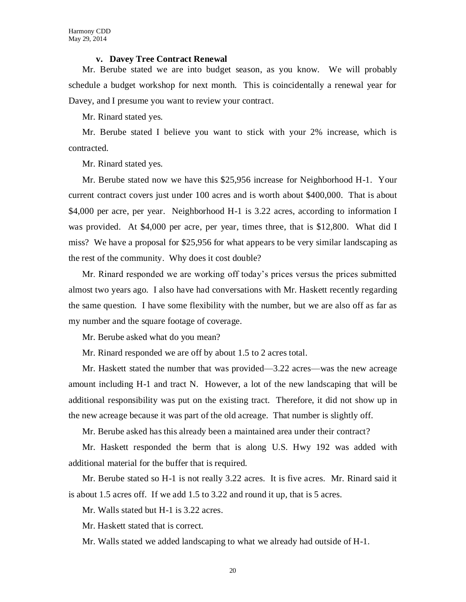#### **v. Davey Tree Contract Renewal**

Mr. Berube stated we are into budget season, as you know. We will probably schedule a budget workshop for next month. This is coincidentally a renewal year for Davey, and I presume you want to review your contract.

Mr. Rinard stated yes.

Mr. Berube stated I believe you want to stick with your 2% increase, which is contracted.

Mr. Rinard stated yes.

Mr. Berube stated now we have this \$25,956 increase for Neighborhood H-1. Your current contract covers just under 100 acres and is worth about \$400,000. That is about \$4,000 per acre, per year. Neighborhood H-1 is 3.22 acres, according to information I was provided. At \$4,000 per acre, per year, times three, that is \$12,800. What did I miss? We have a proposal for \$25,956 for what appears to be very similar landscaping as the rest of the community. Why does it cost double?

Mr. Rinard responded we are working off today's prices versus the prices submitted almost two years ago. I also have had conversations with Mr. Haskett recently regarding the same question. I have some flexibility with the number, but we are also off as far as my number and the square footage of coverage.

Mr. Berube asked what do you mean?

Mr. Rinard responded we are off by about 1.5 to 2 acres total.

Mr. Haskett stated the number that was provided—3.22 acres—was the new acreage amount including H-1 and tract N. However, a lot of the new landscaping that will be additional responsibility was put on the existing tract. Therefore, it did not show up in the new acreage because it was part of the old acreage. That number is slightly off.

Mr. Berube asked has this already been a maintained area under their contract?

Mr. Haskett responded the berm that is along U.S. Hwy 192 was added with additional material for the buffer that is required.

Mr. Berube stated so H-1 is not really 3.22 acres. It is five acres. Mr. Rinard said it is about 1.5 acres off. If we add 1.5 to 3.22 and round it up, that is 5 acres.

Mr. Walls stated but H-1 is 3.22 acres.

Mr. Haskett stated that is correct.

Mr. Walls stated we added landscaping to what we already had outside of H-1.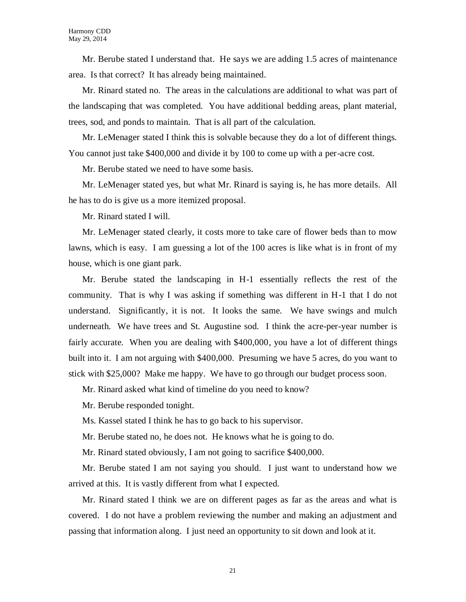Mr. Berube stated I understand that. He says we are adding 1.5 acres of maintenance area. Is that correct? It has already being maintained.

Mr. Rinard stated no. The areas in the calculations are additional to what was part of the landscaping that was completed. You have additional bedding areas, plant material, trees, sod, and ponds to maintain. That is all part of the calculation.

Mr. LeMenager stated I think this is solvable because they do a lot of different things. You cannot just take \$400,000 and divide it by 100 to come up with a per-acre cost.

Mr. Berube stated we need to have some basis.

Mr. LeMenager stated yes, but what Mr. Rinard is saying is, he has more details. All he has to do is give us a more itemized proposal.

Mr. Rinard stated I will.

Mr. LeMenager stated clearly, it costs more to take care of flower beds than to mow lawns, which is easy. I am guessing a lot of the 100 acres is like what is in front of my house, which is one giant park.

Mr. Berube stated the landscaping in H-1 essentially reflects the rest of the community. That is why I was asking if something was different in H-1 that I do not understand. Significantly, it is not. It looks the same. We have swings and mulch underneath. We have trees and St. Augustine sod. I think the acre-per-year number is fairly accurate. When you are dealing with \$400,000, you have a lot of different things built into it. I am not arguing with \$400,000. Presuming we have 5 acres, do you want to stick with \$25,000? Make me happy. We have to go through our budget process soon.

Mr. Rinard asked what kind of timeline do you need to know?

Mr. Berube responded tonight.

Ms. Kassel stated I think he has to go back to his supervisor.

Mr. Berube stated no, he does not. He knows what he is going to do.

Mr. Rinard stated obviously, I am not going to sacrifice \$400,000.

Mr. Berube stated I am not saying you should. I just want to understand how we arrived at this. It is vastly different from what I expected.

Mr. Rinard stated I think we are on different pages as far as the areas and what is covered. I do not have a problem reviewing the number and making an adjustment and passing that information along. I just need an opportunity to sit down and look at it.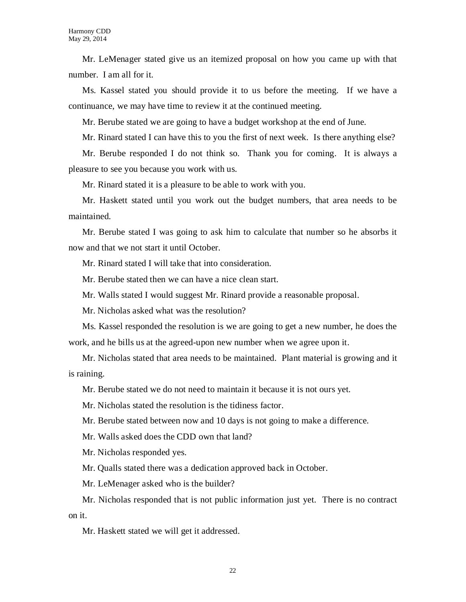Mr. LeMenager stated give us an itemized proposal on how you came up with that number. I am all for it.

Ms. Kassel stated you should provide it to us before the meeting. If we have a continuance, we may have time to review it at the continued meeting.

Mr. Berube stated we are going to have a budget workshop at the end of June.

Mr. Rinard stated I can have this to you the first of next week. Is there anything else?

Mr. Berube responded I do not think so. Thank you for coming. It is always a pleasure to see you because you work with us.

Mr. Rinard stated it is a pleasure to be able to work with you.

Mr. Haskett stated until you work out the budget numbers, that area needs to be maintained.

Mr. Berube stated I was going to ask him to calculate that number so he absorbs it now and that we not start it until October.

Mr. Rinard stated I will take that into consideration.

Mr. Berube stated then we can have a nice clean start.

Mr. Walls stated I would suggest Mr. Rinard provide a reasonable proposal.

Mr. Nicholas asked what was the resolution?

Ms. Kassel responded the resolution is we are going to get a new number, he does the work, and he bills us at the agreed-upon new number when we agree upon it.

Mr. Nicholas stated that area needs to be maintained. Plant material is growing and it is raining.

Mr. Berube stated we do not need to maintain it because it is not ours yet.

Mr. Nicholas stated the resolution is the tidiness factor.

Mr. Berube stated between now and 10 days is not going to make a difference.

Mr. Walls asked does the CDD own that land?

Mr. Nicholas responded yes.

Mr. Qualls stated there was a dedication approved back in October.

Mr. LeMenager asked who is the builder?

Mr. Nicholas responded that is not public information just yet. There is no contract on it.

Mr. Haskett stated we will get it addressed.

22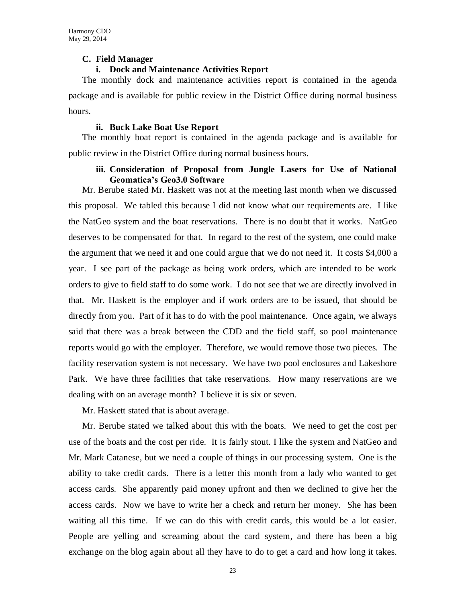## **C. Field Manager**

## **i. Dock and Maintenance Activities Report**

The monthly dock and maintenance activities report is contained in the agenda package and is available for public review in the District Office during normal business hours.

#### **ii. Buck Lake Boat Use Report**

The monthly boat report is contained in the agenda package and is available for public review in the District Office during normal business hours.

## **iii. Consideration of Proposal from Jungle Lasers for Use of National Geomatica's Geo3.0 Software**

Mr. Berube stated Mr. Haskett was not at the meeting last month when we discussed this proposal. We tabled this because I did not know what our requirements are. I like the NatGeo system and the boat reservations. There is no doubt that it works. NatGeo deserves to be compensated for that. In regard to the rest of the system, one could make the argument that we need it and one could argue that we do not need it. It costs \$4,000 a year. I see part of the package as being work orders, which are intended to be work orders to give to field staff to do some work. I do not see that we are directly involved in that. Mr. Haskett is the employer and if work orders are to be issued, that should be directly from you. Part of it has to do with the pool maintenance. Once again, we always said that there was a break between the CDD and the field staff, so pool maintenance reports would go with the employer. Therefore, we would remove those two pieces. The facility reservation system is not necessary. We have two pool enclosures and Lakeshore Park. We have three facilities that take reservations. How many reservations are we dealing with on an average month? I believe it is six or seven.

Mr. Haskett stated that is about average.

Mr. Berube stated we talked about this with the boats. We need to get the cost per use of the boats and the cost per ride. It is fairly stout. I like the system and NatGeo and Mr. Mark Catanese, but we need a couple of things in our processing system. One is the ability to take credit cards. There is a letter this month from a lady who wanted to get access cards. She apparently paid money upfront and then we declined to give her the access cards. Now we have to write her a check and return her money. She has been waiting all this time. If we can do this with credit cards, this would be a lot easier. People are yelling and screaming about the card system, and there has been a big exchange on the blog again about all they have to do to get a card and how long it takes.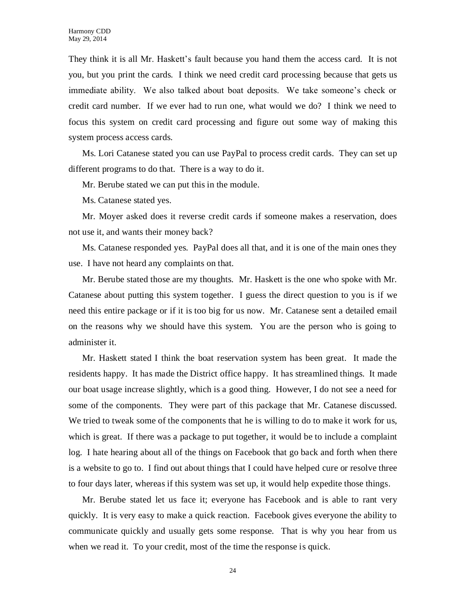They think it is all Mr. Haskett's fault because you hand them the access card. It is not you, but you print the cards. I think we need credit card processing because that gets us immediate ability. We also talked about boat deposits. We take someone's check or credit card number. If we ever had to run one, what would we do? I think we need to focus this system on credit card processing and figure out some way of making this system process access cards.

Ms. Lori Catanese stated you can use PayPal to process credit cards. They can set up different programs to do that. There is a way to do it.

Mr. Berube stated we can put this in the module.

Ms. Catanese stated yes.

Mr. Moyer asked does it reverse credit cards if someone makes a reservation, does not use it, and wants their money back?

Ms. Catanese responded yes. PayPal does all that, and it is one of the main ones they use. I have not heard any complaints on that.

Mr. Berube stated those are my thoughts. Mr. Haskett is the one who spoke with Mr. Catanese about putting this system together. I guess the direct question to you is if we need this entire package or if it is too big for us now. Mr. Catanese sent a detailed email on the reasons why we should have this system. You are the person who is going to administer it.

Mr. Haskett stated I think the boat reservation system has been great. It made the residents happy. It has made the District office happy. It has streamlined things. It made our boat usage increase slightly, which is a good thing. However, I do not see a need for some of the components. They were part of this package that Mr. Catanese discussed. We tried to tweak some of the components that he is willing to do to make it work for us, which is great. If there was a package to put together, it would be to include a complaint log. I hate hearing about all of the things on Facebook that go back and forth when there is a website to go to. I find out about things that I could have helped cure or resolve three to four days later, whereas if this system was set up, it would help expedite those things.

Mr. Berube stated let us face it; everyone has Facebook and is able to rant very quickly. It is very easy to make a quick reaction. Facebook gives everyone the ability to communicate quickly and usually gets some response. That is why you hear from us when we read it. To your credit, most of the time the response is quick.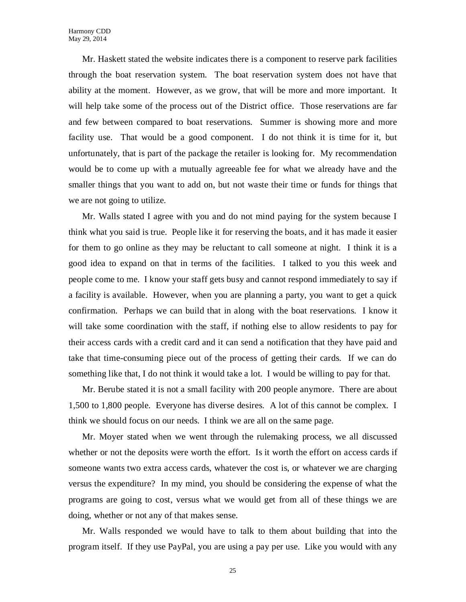Mr. Haskett stated the website indicates there is a component to reserve park facilities through the boat reservation system. The boat reservation system does not have that ability at the moment. However, as we grow, that will be more and more important. It will help take some of the process out of the District office. Those reservations are far and few between compared to boat reservations. Summer is showing more and more facility use. That would be a good component. I do not think it is time for it, but unfortunately, that is part of the package the retailer is looking for. My recommendation would be to come up with a mutually agreeable fee for what we already have and the smaller things that you want to add on, but not waste their time or funds for things that we are not going to utilize.

Mr. Walls stated I agree with you and do not mind paying for the system because I think what you said is true. People like it for reserving the boats, and it has made it easier for them to go online as they may be reluctant to call someone at night. I think it is a good idea to expand on that in terms of the facilities. I talked to you this week and people come to me. I know your staff gets busy and cannot respond immediately to say if a facility is available. However, when you are planning a party, you want to get a quick confirmation. Perhaps we can build that in along with the boat reservations. I know it will take some coordination with the staff, if nothing else to allow residents to pay for their access cards with a credit card and it can send a notification that they have paid and take that time-consuming piece out of the process of getting their cards. If we can do something like that, I do not think it would take a lot. I would be willing to pay for that.

Mr. Berube stated it is not a small facility with 200 people anymore. There are about 1,500 to 1,800 people. Everyone has diverse desires. A lot of this cannot be complex. I think we should focus on our needs. I think we are all on the same page.

Mr. Moyer stated when we went through the rulemaking process, we all discussed whether or not the deposits were worth the effort. Is it worth the effort on access cards if someone wants two extra access cards, whatever the cost is, or whatever we are charging versus the expenditure? In my mind, you should be considering the expense of what the programs are going to cost, versus what we would get from all of these things we are doing, whether or not any of that makes sense.

Mr. Walls responded we would have to talk to them about building that into the program itself. If they use PayPal, you are using a pay per use. Like you would with any

25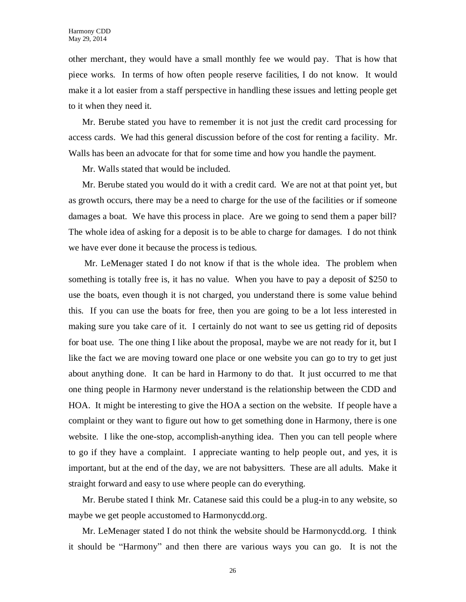other merchant, they would have a small monthly fee we would pay. That is how that piece works. In terms of how often people reserve facilities, I do not know. It would make it a lot easier from a staff perspective in handling these issues and letting people get to it when they need it.

Mr. Berube stated you have to remember it is not just the credit card processing for access cards. We had this general discussion before of the cost for renting a facility. Mr. Walls has been an advocate for that for some time and how you handle the payment.

Mr. Walls stated that would be included.

Mr. Berube stated you would do it with a credit card. We are not at that point yet, but as growth occurs, there may be a need to charge for the use of the facilities or if someone damages a boat. We have this process in place. Are we going to send them a paper bill? The whole idea of asking for a deposit is to be able to charge for damages. I do not think we have ever done it because the process is tedious.

Mr. LeMenager stated I do not know if that is the whole idea. The problem when something is totally free is, it has no value. When you have to pay a deposit of \$250 to use the boats, even though it is not charged, you understand there is some value behind this. If you can use the boats for free, then you are going to be a lot less interested in making sure you take care of it. I certainly do not want to see us getting rid of deposits for boat use. The one thing I like about the proposal, maybe we are not ready for it, but I like the fact we are moving toward one place or one website you can go to try to get just about anything done. It can be hard in Harmony to do that. It just occurred to me that one thing people in Harmony never understand is the relationship between the CDD and HOA. It might be interesting to give the HOA a section on the website. If people have a complaint or they want to figure out how to get something done in Harmony, there is one website. I like the one-stop, accomplish-anything idea. Then you can tell people where to go if they have a complaint. I appreciate wanting to help people out, and yes, it is important, but at the end of the day, we are not babysitters. These are all adults. Make it straight forward and easy to use where people can do everything.

Mr. Berube stated I think Mr. Catanese said this could be a plug-in to any website, so maybe we get people accustomed to Harmonycdd.org.

Mr. LeMenager stated I do not think the website should be Harmonycdd.org. I think it should be "Harmony" and then there are various ways you can go. It is not the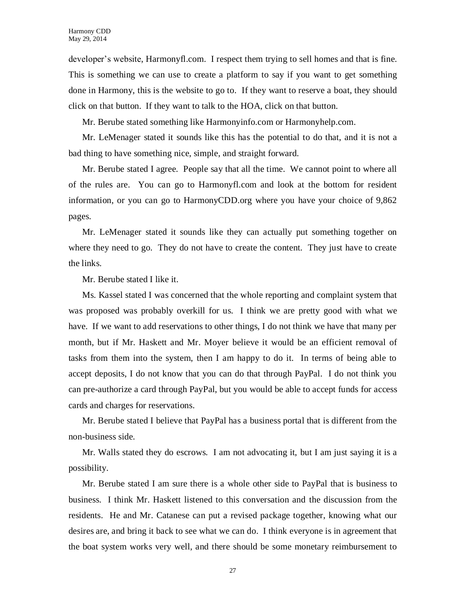developer's website, Harmonyfl.com. I respect them trying to sell homes and that is fine. This is something we can use to create a platform to say if you want to get something done in Harmony, this is the website to go to. If they want to reserve a boat, they should click on that button. If they want to talk to the HOA, click on that button.

Mr. Berube stated something like Harmonyinfo.com or Harmonyhelp.com.

Mr. LeMenager stated it sounds like this has the potential to do that, and it is not a bad thing to have something nice, simple, and straight forward.

Mr. Berube stated I agree. People say that all the time. We cannot point to where all of the rules are. You can go to Harmonyfl.com and look at the bottom for resident information, or you can go to HarmonyCDD.org where you have your choice of 9,862 pages.

Mr. LeMenager stated it sounds like they can actually put something together on where they need to go. They do not have to create the content. They just have to create the links.

Mr. Berube stated I like it.

Ms. Kassel stated I was concerned that the whole reporting and complaint system that was proposed was probably overkill for us. I think we are pretty good with what we have. If we want to add reservations to other things, I do not think we have that many per month, but if Mr. Haskett and Mr. Moyer believe it would be an efficient removal of tasks from them into the system, then I am happy to do it. In terms of being able to accept deposits, I do not know that you can do that through PayPal. I do not think you can pre-authorize a card through PayPal, but you would be able to accept funds for access cards and charges for reservations.

Mr. Berube stated I believe that PayPal has a business portal that is different from the non-business side.

Mr. Walls stated they do escrows. I am not advocating it, but I am just saying it is a possibility.

Mr. Berube stated I am sure there is a whole other side to PayPal that is business to business. I think Mr. Haskett listened to this conversation and the discussion from the residents. He and Mr. Catanese can put a revised package together, knowing what our desires are, and bring it back to see what we can do. I think everyone is in agreement that the boat system works very well, and there should be some monetary reimbursement to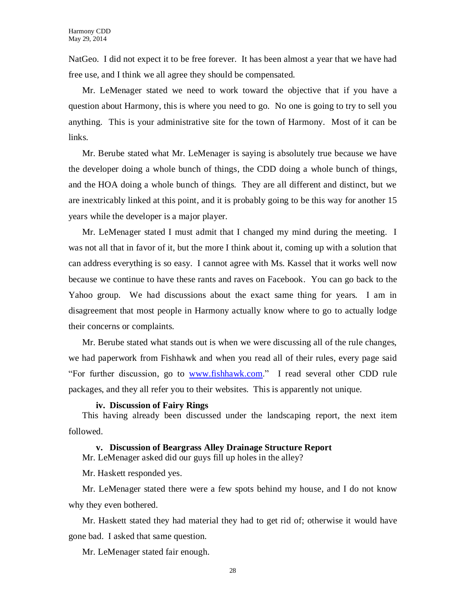NatGeo. I did not expect it to be free forever. It has been almost a year that we have had free use, and I think we all agree they should be compensated.

Mr. LeMenager stated we need to work toward the objective that if you have a question about Harmony, this is where you need to go. No one is going to try to sell you anything. This is your administrative site for the town of Harmony. Most of it can be links.

Mr. Berube stated what Mr. LeMenager is saying is absolutely true because we have the developer doing a whole bunch of things, the CDD doing a whole bunch of things, and the HOA doing a whole bunch of things. They are all different and distinct, but we are inextricably linked at this point, and it is probably going to be this way for another 15 years while the developer is a major player.

Mr. LeMenager stated I must admit that I changed my mind during the meeting. I was not all that in favor of it, but the more I think about it, coming up with a solution that can address everything is so easy. I cannot agree with Ms. Kassel that it works well now because we continue to have these rants and raves on Facebook. You can go back to the Yahoo group. We had discussions about the exact same thing for years. I am in disagreement that most people in Harmony actually know where to go to actually lodge their concerns or complaints.

Mr. Berube stated what stands out is when we were discussing all of the rule changes, we had paperwork from Fishhawk and when you read all of their rules, every page said "For further discussion, go to [www.fishhawk.com.](http://www.fishhawk.com/)" I read several other CDD rule packages, and they all refer you to their websites. This is apparently not unique.

#### **iv. Discussion of Fairy Rings**

This having already been discussed under the landscaping report, the next item followed.

## **v. Discussion of Beargrass Alley Drainage Structure Report**

Mr. LeMenager asked did our guys fill up holes in the alley?

Mr. Haskett responded yes.

Mr. LeMenager stated there were a few spots behind my house, and I do not know why they even bothered.

Mr. Haskett stated they had material they had to get rid of; otherwise it would have gone bad. I asked that same question.

Mr. LeMenager stated fair enough.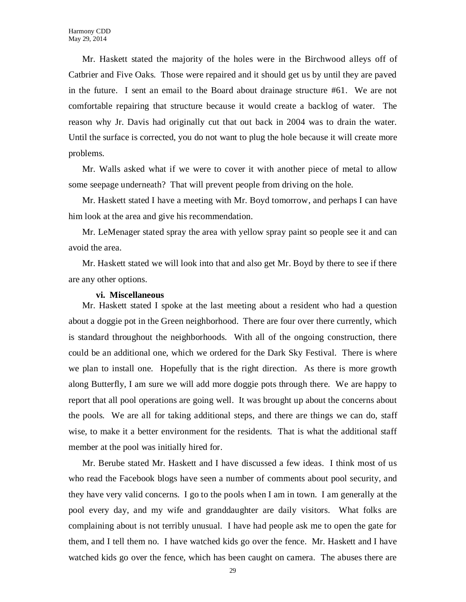Mr. Haskett stated the majority of the holes were in the Birchwood alleys off of Catbrier and Five Oaks. Those were repaired and it should get us by until they are paved in the future. I sent an email to the Board about drainage structure #61. We are not comfortable repairing that structure because it would create a backlog of water. The reason why Jr. Davis had originally cut that out back in 2004 was to drain the water. Until the surface is corrected, you do not want to plug the hole because it will create more problems.

Mr. Walls asked what if we were to cover it with another piece of metal to allow some seepage underneath? That will prevent people from driving on the hole.

Mr. Haskett stated I have a meeting with Mr. Boyd tomorrow, and perhaps I can have him look at the area and give his recommendation.

Mr. LeMenager stated spray the area with yellow spray paint so people see it and can avoid the area.

Mr. Haskett stated we will look into that and also get Mr. Boyd by there to see if there are any other options.

## **vi. Miscellaneous**

Mr. Haskett stated I spoke at the last meeting about a resident who had a question about a doggie pot in the Green neighborhood. There are four over there currently, which is standard throughout the neighborhoods. With all of the ongoing construction, there could be an additional one, which we ordered for the Dark Sky Festival. There is where we plan to install one. Hopefully that is the right direction. As there is more growth along Butterfly, I am sure we will add more doggie pots through there. We are happy to report that all pool operations are going well. It was brought up about the concerns about the pools. We are all for taking additional steps, and there are things we can do, staff wise, to make it a better environment for the residents. That is what the additional staff member at the pool was initially hired for.

Mr. Berube stated Mr. Haskett and I have discussed a few ideas. I think most of us who read the Facebook blogs have seen a number of comments about pool security, and they have very valid concerns. I go to the pools when I am in town. I am generally at the pool every day, and my wife and granddaughter are daily visitors. What folks are complaining about is not terribly unusual. I have had people ask me to open the gate for them, and I tell them no. I have watched kids go over the fence. Mr. Haskett and I have watched kids go over the fence, which has been caught on camera. The abuses there are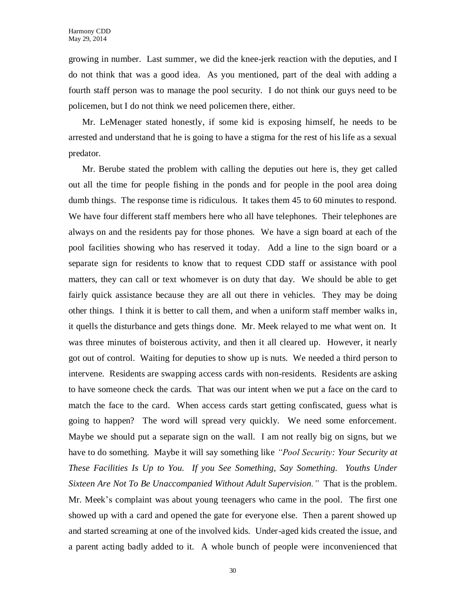growing in number. Last summer, we did the knee-jerk reaction with the deputies, and I do not think that was a good idea. As you mentioned, part of the deal with adding a fourth staff person was to manage the pool security. I do not think our guys need to be policemen, but I do not think we need policemen there, either.

Mr. LeMenager stated honestly, if some kid is exposing himself, he needs to be arrested and understand that he is going to have a stigma for the rest of his life as a sexual predator.

Mr. Berube stated the problem with calling the deputies out here is, they get called out all the time for people fishing in the ponds and for people in the pool area doing dumb things. The response time is ridiculous. It takes them 45 to 60 minutes to respond. We have four different staff members here who all have telephones. Their telephones are always on and the residents pay for those phones. We have a sign board at each of the pool facilities showing who has reserved it today. Add a line to the sign board or a separate sign for residents to know that to request CDD staff or assistance with pool matters, they can call or text whomever is on duty that day. We should be able to get fairly quick assistance because they are all out there in vehicles. They may be doing other things. I think it is better to call them, and when a uniform staff member walks in, it quells the disturbance and gets things done. Mr. Meek relayed to me what went on. It was three minutes of boisterous activity, and then it all cleared up. However, it nearly got out of control. Waiting for deputies to show up is nuts. We needed a third person to intervene. Residents are swapping access cards with non-residents. Residents are asking to have someone check the cards. That was our intent when we put a face on the card to match the face to the card. When access cards start getting confiscated, guess what is going to happen? The word will spread very quickly. We need some enforcement. Maybe we should put a separate sign on the wall. I am not really big on signs, but we have to do something. Maybe it will say something like *"Pool Security: Your Security at These Facilities Is Up to You. If you See Something, Say Something. Youths Under Sixteen Are Not To Be Unaccompanied Without Adult Supervision."* That is the problem. Mr. Meek's complaint was about young teenagers who came in the pool. The first one showed up with a card and opened the gate for everyone else. Then a parent showed up and started screaming at one of the involved kids. Under-aged kids created the issue, and a parent acting badly added to it. A whole bunch of people were inconvenienced that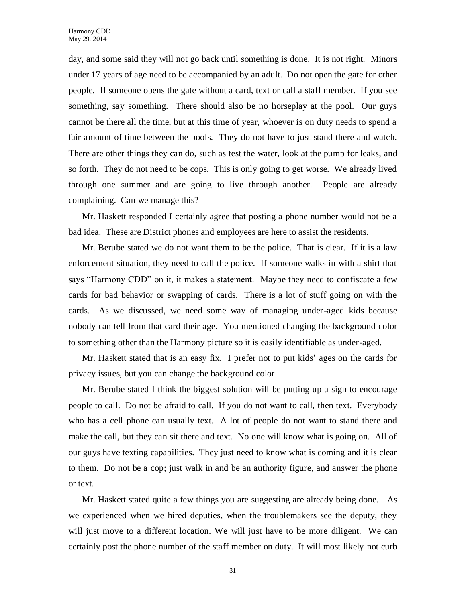day, and some said they will not go back until something is done. It is not right. Minors under 17 years of age need to be accompanied by an adult. Do not open the gate for other people. If someone opens the gate without a card, text or call a staff member. If you see something, say something. There should also be no horseplay at the pool. Our guys cannot be there all the time, but at this time of year, whoever is on duty needs to spend a fair amount of time between the pools. They do not have to just stand there and watch. There are other things they can do, such as test the water, look at the pump for leaks, and so forth. They do not need to be cops. This is only going to get worse. We already lived through one summer and are going to live through another. People are already complaining. Can we manage this?

Mr. Haskett responded I certainly agree that posting a phone number would not be a bad idea. These are District phones and employees are here to assist the residents.

Mr. Berube stated we do not want them to be the police. That is clear. If it is a law enforcement situation, they need to call the police. If someone walks in with a shirt that says "Harmony CDD" on it, it makes a statement. Maybe they need to confiscate a few cards for bad behavior or swapping of cards. There is a lot of stuff going on with the cards. As we discussed, we need some way of managing under-aged kids because nobody can tell from that card their age. You mentioned changing the background color to something other than the Harmony picture so it is easily identifiable as under-aged.

Mr. Haskett stated that is an easy fix. I prefer not to put kids' ages on the cards for privacy issues, but you can change the background color.

Mr. Berube stated I think the biggest solution will be putting up a sign to encourage people to call. Do not be afraid to call. If you do not want to call, then text. Everybody who has a cell phone can usually text. A lot of people do not want to stand there and make the call, but they can sit there and text. No one will know what is going on. All of our guys have texting capabilities. They just need to know what is coming and it is clear to them. Do not be a cop; just walk in and be an authority figure, and answer the phone or text.

Mr. Haskett stated quite a few things you are suggesting are already being done. As we experienced when we hired deputies, when the troublemakers see the deputy, they will just move to a different location. We will just have to be more diligent. We can certainly post the phone number of the staff member on duty. It will most likely not curb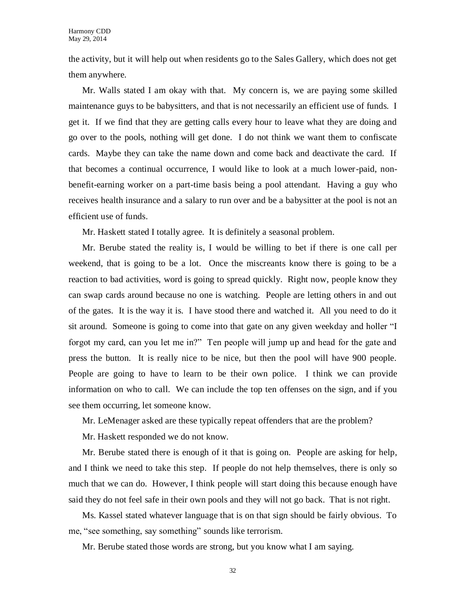the activity, but it will help out when residents go to the Sales Gallery, which does not get them anywhere.

Mr. Walls stated I am okay with that. My concern is, we are paying some skilled maintenance guys to be babysitters, and that is not necessarily an efficient use of funds. I get it. If we find that they are getting calls every hour to leave what they are doing and go over to the pools, nothing will get done. I do not think we want them to confiscate cards. Maybe they can take the name down and come back and deactivate the card. If that becomes a continual occurrence, I would like to look at a much lower-paid, nonbenefit-earning worker on a part-time basis being a pool attendant. Having a guy who receives health insurance and a salary to run over and be a babysitter at the pool is not an efficient use of funds.

Mr. Haskett stated I totally agree. It is definitely a seasonal problem.

Mr. Berube stated the reality is, I would be willing to bet if there is one call per weekend, that is going to be a lot. Once the miscreants know there is going to be a reaction to bad activities, word is going to spread quickly. Right now, people know they can swap cards around because no one is watching. People are letting others in and out of the gates. It is the way it is. I have stood there and watched it. All you need to do it sit around. Someone is going to come into that gate on any given weekday and holler "I forgot my card, can you let me in?" Ten people will jump up and head for the gate and press the button. It is really nice to be nice, but then the pool will have 900 people. People are going to have to learn to be their own police. I think we can provide information on who to call. We can include the top ten offenses on the sign, and if you see them occurring, let someone know.

Mr. LeMenager asked are these typically repeat offenders that are the problem?

Mr. Haskett responded we do not know.

Mr. Berube stated there is enough of it that is going on. People are asking for help, and I think we need to take this step. If people do not help themselves, there is only so much that we can do. However, I think people will start doing this because enough have said they do not feel safe in their own pools and they will not go back. That is not right.

Ms. Kassel stated whatever language that is on that sign should be fairly obvious. To me, "see something, say something" sounds like terrorism.

Mr. Berube stated those words are strong, but you know what I am saying.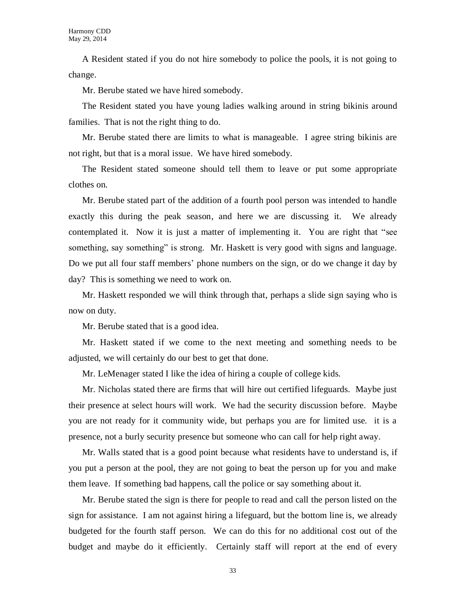A Resident stated if you do not hire somebody to police the pools, it is not going to change.

Mr. Berube stated we have hired somebody.

The Resident stated you have young ladies walking around in string bikinis around families. That is not the right thing to do.

Mr. Berube stated there are limits to what is manageable. I agree string bikinis are not right, but that is a moral issue. We have hired somebody.

The Resident stated someone should tell them to leave or put some appropriate clothes on.

Mr. Berube stated part of the addition of a fourth pool person was intended to handle exactly this during the peak season, and here we are discussing it. We already contemplated it. Now it is just a matter of implementing it. You are right that "see something, say something" is strong. Mr. Haskett is very good with signs and language. Do we put all four staff members' phone numbers on the sign, or do we change it day by day? This is something we need to work on.

Mr. Haskett responded we will think through that, perhaps a slide sign saying who is now on duty.

Mr. Berube stated that is a good idea.

Mr. Haskett stated if we come to the next meeting and something needs to be adjusted, we will certainly do our best to get that done.

Mr. LeMenager stated I like the idea of hiring a couple of college kids.

Mr. Nicholas stated there are firms that will hire out certified lifeguards. Maybe just their presence at select hours will work. We had the security discussion before. Maybe you are not ready for it community wide, but perhaps you are for limited use. it is a presence, not a burly security presence but someone who can call for help right away.

Mr. Walls stated that is a good point because what residents have to understand is, if you put a person at the pool, they are not going to beat the person up for you and make them leave. If something bad happens, call the police or say something about it.

Mr. Berube stated the sign is there for people to read and call the person listed on the sign for assistance. I am not against hiring a lifeguard, but the bottom line is, we already budgeted for the fourth staff person. We can do this for no additional cost out of the budget and maybe do it efficiently. Certainly staff will report at the end of every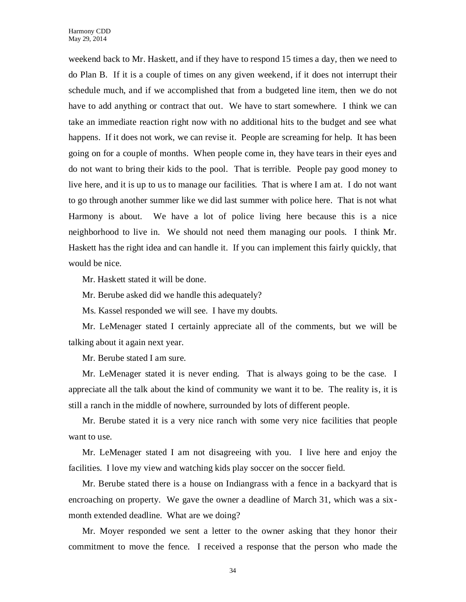weekend back to Mr. Haskett, and if they have to respond 15 times a day, then we need to do Plan B. If it is a couple of times on any given weekend, if it does not interrupt their schedule much, and if we accomplished that from a budgeted line item, then we do not have to add anything or contract that out. We have to start somewhere. I think we can take an immediate reaction right now with no additional hits to the budget and see what happens. If it does not work, we can revise it. People are screaming for help. It has been going on for a couple of months. When people come in, they have tears in their eyes and do not want to bring their kids to the pool. That is terrible. People pay good money to live here, and it is up to us to manage our facilities. That is where I am at. I do not want to go through another summer like we did last summer with police here. That is not what Harmony is about. We have a lot of police living here because this is a nice neighborhood to live in. We should not need them managing our pools. I think Mr. Haskett has the right idea and can handle it. If you can implement this fairly quickly, that would be nice.

Mr. Haskett stated it will be done.

Mr. Berube asked did we handle this adequately?

Ms. Kassel responded we will see. I have my doubts.

Mr. LeMenager stated I certainly appreciate all of the comments, but we will be talking about it again next year.

Mr. Berube stated I am sure.

Mr. LeMenager stated it is never ending. That is always going to be the case. I appreciate all the talk about the kind of community we want it to be. The reality is, it is still a ranch in the middle of nowhere, surrounded by lots of different people.

Mr. Berube stated it is a very nice ranch with some very nice facilities that people want to use.

Mr. LeMenager stated I am not disagreeing with you. I live here and enjoy the facilities. I love my view and watching kids play soccer on the soccer field.

Mr. Berube stated there is a house on Indiangrass with a fence in a backyard that is encroaching on property. We gave the owner a deadline of March 31, which was a sixmonth extended deadline. What are we doing?

Mr. Moyer responded we sent a letter to the owner asking that they honor their commitment to move the fence. I received a response that the person who made the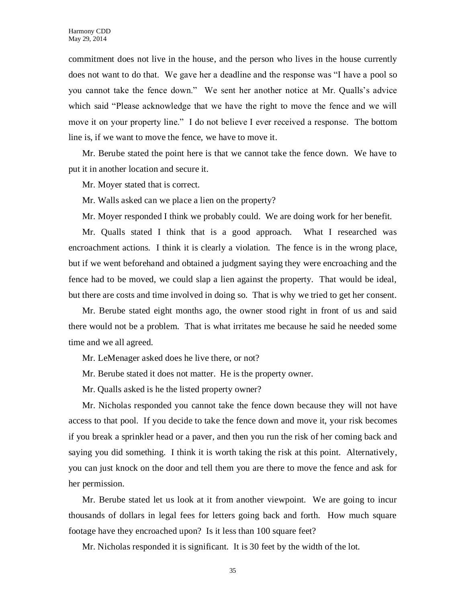commitment does not live in the house, and the person who lives in the house currently does not want to do that. We gave her a deadline and the response was "I have a pool so you cannot take the fence down." We sent her another notice at Mr. Qualls's advice which said "Please acknowledge that we have the right to move the fence and we will move it on your property line." I do not believe I ever received a response. The bottom line is, if we want to move the fence, we have to move it.

Mr. Berube stated the point here is that we cannot take the fence down. We have to put it in another location and secure it.

Mr. Moyer stated that is correct.

Mr. Walls asked can we place a lien on the property?

Mr. Moyer responded I think we probably could. We are doing work for her benefit.

Mr. Qualls stated I think that is a good approach. What I researched was encroachment actions. I think it is clearly a violation. The fence is in the wrong place, but if we went beforehand and obtained a judgment saying they were encroaching and the fence had to be moved, we could slap a lien against the property. That would be ideal, but there are costs and time involved in doing so. That is why we tried to get her consent.

Mr. Berube stated eight months ago, the owner stood right in front of us and said there would not be a problem. That is what irritates me because he said he needed some time and we all agreed.

Mr. LeMenager asked does he live there, or not?

Mr. Berube stated it does not matter. He is the property owner.

Mr. Qualls asked is he the listed property owner?

Mr. Nicholas responded you cannot take the fence down because they will not have access to that pool. If you decide to take the fence down and move it, your risk becomes if you break a sprinkler head or a paver, and then you run the risk of her coming back and saying you did something. I think it is worth taking the risk at this point. Alternatively, you can just knock on the door and tell them you are there to move the fence and ask for her permission.

Mr. Berube stated let us look at it from another viewpoint. We are going to incur thousands of dollars in legal fees for letters going back and forth. How much square footage have they encroached upon? Is it less than 100 square feet?

Mr. Nicholas responded it is significant. It is 30 feet by the width of the lot.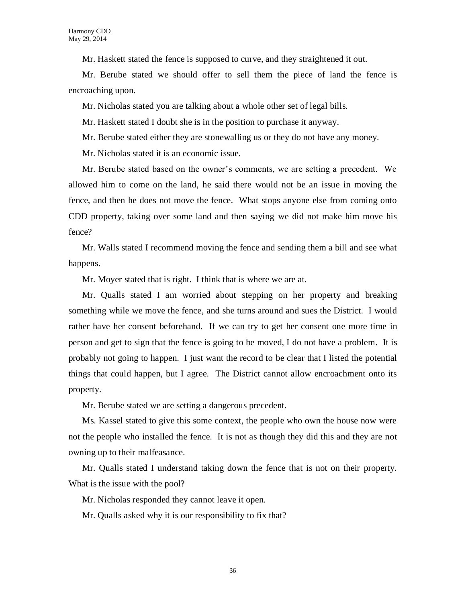Mr. Haskett stated the fence is supposed to curve, and they straightened it out.

Mr. Berube stated we should offer to sell them the piece of land the fence is encroaching upon.

Mr. Nicholas stated you are talking about a whole other set of legal bills.

Mr. Haskett stated I doubt she is in the position to purchase it anyway.

Mr. Berube stated either they are stonewalling us or they do not have any money.

Mr. Nicholas stated it is an economic issue.

Mr. Berube stated based on the owner's comments, we are setting a precedent. We allowed him to come on the land, he said there would not be an issue in moving the fence, and then he does not move the fence. What stops anyone else from coming onto CDD property, taking over some land and then saying we did not make him move his fence?

Mr. Walls stated I recommend moving the fence and sending them a bill and see what happens.

Mr. Moyer stated that is right. I think that is where we are at.

Mr. Qualls stated I am worried about stepping on her property and breaking something while we move the fence, and she turns around and sues the District. I would rather have her consent beforehand. If we can try to get her consent one more time in person and get to sign that the fence is going to be moved, I do not have a problem. It is probably not going to happen. I just want the record to be clear that I listed the potential things that could happen, but I agree. The District cannot allow encroachment onto its property.

Mr. Berube stated we are setting a dangerous precedent.

Ms. Kassel stated to give this some context, the people who own the house now were not the people who installed the fence. It is not as though they did this and they are not owning up to their malfeasance.

Mr. Qualls stated I understand taking down the fence that is not on their property. What is the issue with the pool?

Mr. Nicholas responded they cannot leave it open.

Mr. Qualls asked why it is our responsibility to fix that?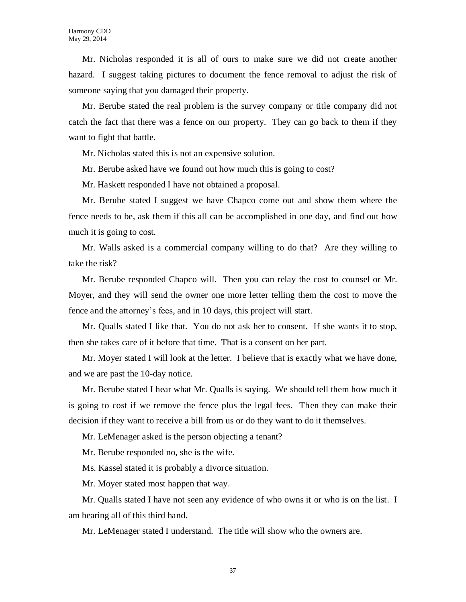Mr. Nicholas responded it is all of ours to make sure we did not create another hazard. I suggest taking pictures to document the fence removal to adjust the risk of someone saying that you damaged their property.

Mr. Berube stated the real problem is the survey company or title company did not catch the fact that there was a fence on our property. They can go back to them if they want to fight that battle.

Mr. Nicholas stated this is not an expensive solution.

Mr. Berube asked have we found out how much this is going to cost?

Mr. Haskett responded I have not obtained a proposal.

Mr. Berube stated I suggest we have Chapco come out and show them where the fence needs to be, ask them if this all can be accomplished in one day, and find out how much it is going to cost.

Mr. Walls asked is a commercial company willing to do that? Are they willing to take the risk?

Mr. Berube responded Chapco will. Then you can relay the cost to counsel or Mr. Moyer, and they will send the owner one more letter telling them the cost to move the fence and the attorney's fees, and in 10 days, this project will start.

Mr. Qualls stated I like that. You do not ask her to consent. If she wants it to stop, then she takes care of it before that time. That is a consent on her part.

Mr. Moyer stated I will look at the letter. I believe that is exactly what we have done, and we are past the 10-day notice.

Mr. Berube stated I hear what Mr. Qualls is saying. We should tell them how much it is going to cost if we remove the fence plus the legal fees. Then they can make their decision if they want to receive a bill from us or do they want to do it themselves.

Mr. LeMenager asked is the person objecting a tenant?

Mr. Berube responded no, she is the wife.

Ms. Kassel stated it is probably a divorce situation.

Mr. Moyer stated most happen that way.

Mr. Qualls stated I have not seen any evidence of who owns it or who is on the list. I am hearing all of this third hand.

Mr. LeMenager stated I understand. The title will show who the owners are.

37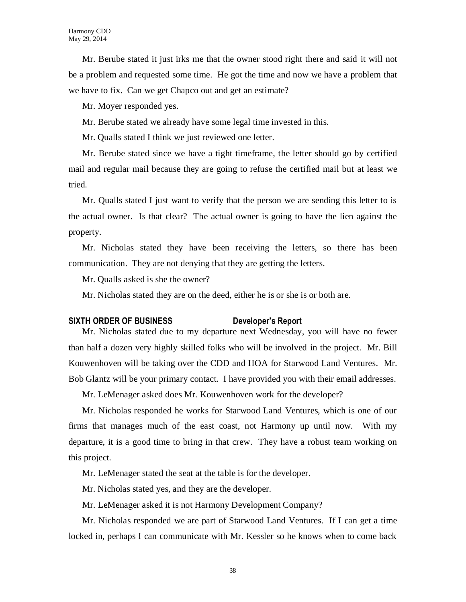Mr. Berube stated it just irks me that the owner stood right there and said it will not be a problem and requested some time. He got the time and now we have a problem that we have to fix. Can we get Chapco out and get an estimate?

Mr. Moyer responded yes.

Mr. Berube stated we already have some legal time invested in this.

Mr. Qualls stated I think we just reviewed one letter.

Mr. Berube stated since we have a tight timeframe, the letter should go by certified mail and regular mail because they are going to refuse the certified mail but at least we tried.

Mr. Qualls stated I just want to verify that the person we are sending this letter to is the actual owner. Is that clear? The actual owner is going to have the lien against the property.

Mr. Nicholas stated they have been receiving the letters, so there has been communication. They are not denying that they are getting the letters.

Mr. Qualls asked is she the owner?

Mr. Nicholas stated they are on the deed, either he is or she is or both are.

## **SIXTH ORDER OF BUSINESS Developer's Report**

Mr. Nicholas stated due to my departure next Wednesday, you will have no fewer than half a dozen very highly skilled folks who will be involved in the project. Mr. Bill Kouwenhoven will be taking over the CDD and HOA for Starwood Land Ventures. Mr. Bob Glantz will be your primary contact. I have provided you with their email addresses.

Mr. LeMenager asked does Mr. Kouwenhoven work for the developer?

Mr. Nicholas responded he works for Starwood Land Ventures, which is one of our firms that manages much of the east coast, not Harmony up until now. With my departure, it is a good time to bring in that crew. They have a robust team working on this project.

Mr. LeMenager stated the seat at the table is for the developer.

Mr. Nicholas stated yes, and they are the developer.

Mr. LeMenager asked it is not Harmony Development Company?

Mr. Nicholas responded we are part of Starwood Land Ventures. If I can get a time locked in, perhaps I can communicate with Mr. Kessler so he knows when to come back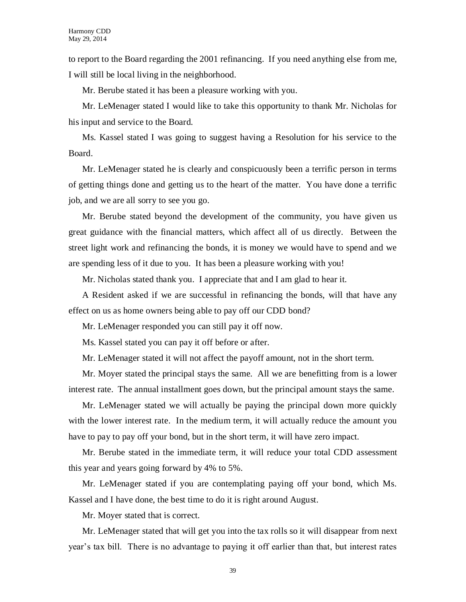to report to the Board regarding the 2001 refinancing. If you need anything else from me, I will still be local living in the neighborhood.

Mr. Berube stated it has been a pleasure working with you.

Mr. LeMenager stated I would like to take this opportunity to thank Mr. Nicholas for his input and service to the Board.

Ms. Kassel stated I was going to suggest having a Resolution for his service to the Board.

Mr. LeMenager stated he is clearly and conspicuously been a terrific person in terms of getting things done and getting us to the heart of the matter. You have done a terrific job, and we are all sorry to see you go.

Mr. Berube stated beyond the development of the community, you have given us great guidance with the financial matters, which affect all of us directly. Between the street light work and refinancing the bonds, it is money we would have to spend and we are spending less of it due to you. It has been a pleasure working with you!

Mr. Nicholas stated thank you. I appreciate that and I am glad to hear it.

A Resident asked if we are successful in refinancing the bonds, will that have any effect on us as home owners being able to pay off our CDD bond?

Mr. LeMenager responded you can still pay it off now.

Ms. Kassel stated you can pay it off before or after.

Mr. LeMenager stated it will not affect the payoff amount, not in the short term.

Mr. Moyer stated the principal stays the same. All we are benefitting from is a lower interest rate. The annual installment goes down, but the principal amount stays the same.

Mr. LeMenager stated we will actually be paying the principal down more quickly with the lower interest rate. In the medium term, it will actually reduce the amount you have to pay to pay off your bond, but in the short term, it will have zero impact.

Mr. Berube stated in the immediate term, it will reduce your total CDD assessment this year and years going forward by 4% to 5%.

Mr. LeMenager stated if you are contemplating paying off your bond, which Ms. Kassel and I have done, the best time to do it is right around August.

Mr. Moyer stated that is correct.

Mr. LeMenager stated that will get you into the tax rolls so it will disappear from next year's tax bill. There is no advantage to paying it off earlier than that, but interest rates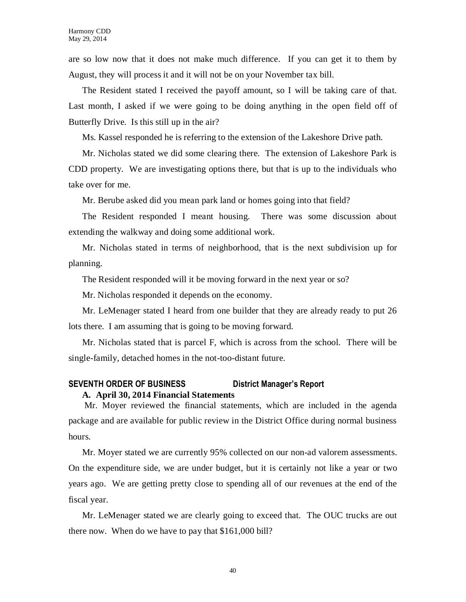are so low now that it does not make much difference. If you can get it to them by August, they will process it and it will not be on your November tax bill.

The Resident stated I received the payoff amount, so I will be taking care of that. Last month, I asked if we were going to be doing anything in the open field off of Butterfly Drive. Is this still up in the air?

Ms. Kassel responded he is referring to the extension of the Lakeshore Drive path.

Mr. Nicholas stated we did some clearing there. The extension of Lakeshore Park is CDD property. We are investigating options there, but that is up to the individuals who take over for me.

Mr. Berube asked did you mean park land or homes going into that field?

The Resident responded I meant housing. There was some discussion about extending the walkway and doing some additional work.

Mr. Nicholas stated in terms of neighborhood, that is the next subdivision up for planning.

The Resident responded will it be moving forward in the next year or so?

Mr. Nicholas responded it depends on the economy.

Mr. LeMenager stated I heard from one builder that they are already ready to put 26 lots there. I am assuming that is going to be moving forward.

Mr. Nicholas stated that is parcel F, which is across from the school. There will be single-family, detached homes in the not-too-distant future.

## **SEVENTH ORDER OF BUSINESS District Manager's Report A. April 30, 2014 Financial Statements**

Mr. Moyer reviewed the financial statements, which are included in the agenda package and are available for public review in the District Office during normal business hours.

Mr. Moyer stated we are currently 95% collected on our non-ad valorem assessments. On the expenditure side, we are under budget, but it is certainly not like a year or two years ago. We are getting pretty close to spending all of our revenues at the end of the fiscal year.

Mr. LeMenager stated we are clearly going to exceed that. The OUC trucks are out there now. When do we have to pay that \$161,000 bill?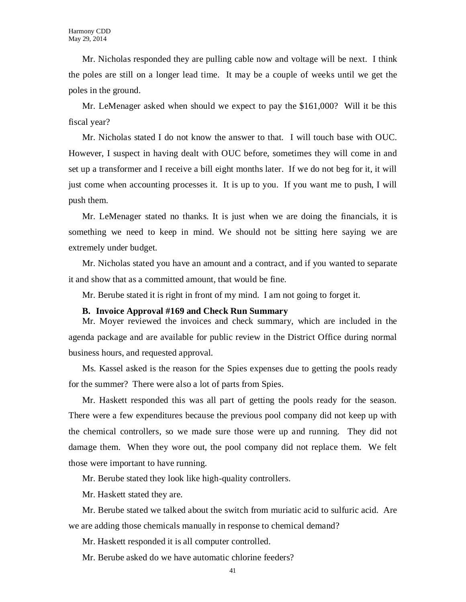Mr. Nicholas responded they are pulling cable now and voltage will be next. I think the poles are still on a longer lead time. It may be a couple of weeks until we get the poles in the ground.

Mr. LeMenager asked when should we expect to pay the \$161,000? Will it be this fiscal year?

Mr. Nicholas stated I do not know the answer to that. I will touch base with OUC. However, I suspect in having dealt with OUC before, sometimes they will come in and set up a transformer and I receive a bill eight months later. If we do not beg for it, it will just come when accounting processes it. It is up to you. If you want me to push, I will push them.

Mr. LeMenager stated no thanks. It is just when we are doing the financials, it is something we need to keep in mind. We should not be sitting here saying we are extremely under budget.

Mr. Nicholas stated you have an amount and a contract, and if you wanted to separate it and show that as a committed amount, that would be fine.

Mr. Berube stated it is right in front of my mind. I am not going to forget it.

#### **B. Invoice Approval #169 and Check Run Summary**

Mr. Moyer reviewed the invoices and check summary, which are included in the agenda package and are available for public review in the District Office during normal business hours, and requested approval.

Ms. Kassel asked is the reason for the Spies expenses due to getting the pools ready for the summer? There were also a lot of parts from Spies.

Mr. Haskett responded this was all part of getting the pools ready for the season. There were a few expenditures because the previous pool company did not keep up with the chemical controllers, so we made sure those were up and running. They did not damage them. When they wore out, the pool company did not replace them. We felt those were important to have running.

Mr. Berube stated they look like high-quality controllers.

Mr. Haskett stated they are.

Mr. Berube stated we talked about the switch from muriatic acid to sulfuric acid. Are we are adding those chemicals manually in response to chemical demand?

Mr. Haskett responded it is all computer controlled.

Mr. Berube asked do we have automatic chlorine feeders?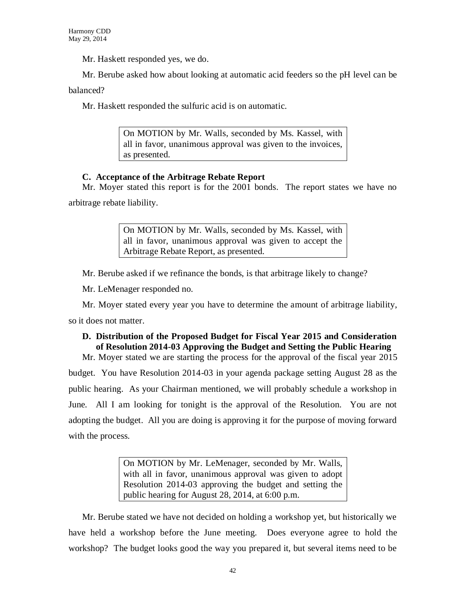Mr. Haskett responded yes, we do.

Mr. Berube asked how about looking at automatic acid feeders so the pH level can be

balanced?

Mr. Haskett responded the sulfuric acid is on automatic.

On MOTION by Mr. Walls, seconded by Ms. Kassel, with all in favor, unanimous approval was given to the invoices, as presented.

## **C. Acceptance of the Arbitrage Rebate Report**

Mr. Moyer stated this report is for the 2001 bonds. The report states we have no arbitrage rebate liability.

> On MOTION by Mr. Walls, seconded by Ms. Kassel, with all in favor, unanimous approval was given to accept the Arbitrage Rebate Report, as presented.

Mr. Berube asked if we refinance the bonds, is that arbitrage likely to change?

Mr. LeMenager responded no.

Mr. Moyer stated every year you have to determine the amount of arbitrage liability,

so it does not matter.

## **D. Distribution of the Proposed Budget for Fiscal Year 2015 and Consideration of Resolution 2014-03 Approving the Budget and Setting the Public Hearing**

Mr. Moyer stated we are starting the process for the approval of the fiscal year 2015 budget. You have Resolution 2014-03 in your agenda package setting August 28 as the public hearing. As your Chairman mentioned, we will probably schedule a workshop in June. All I am looking for tonight is the approval of the Resolution. You are not adopting the budget. All you are doing is approving it for the purpose of moving forward with the process.

> On MOTION by Mr. LeMenager, seconded by Mr. Walls, with all in favor, unanimous approval was given to adopt Resolution 2014-03 approving the budget and setting the public hearing for August 28, 2014, at 6:00 p.m.

Mr. Berube stated we have not decided on holding a workshop yet, but historically we have held a workshop before the June meeting. Does everyone agree to hold the workshop? The budget looks good the way you prepared it, but several items need to be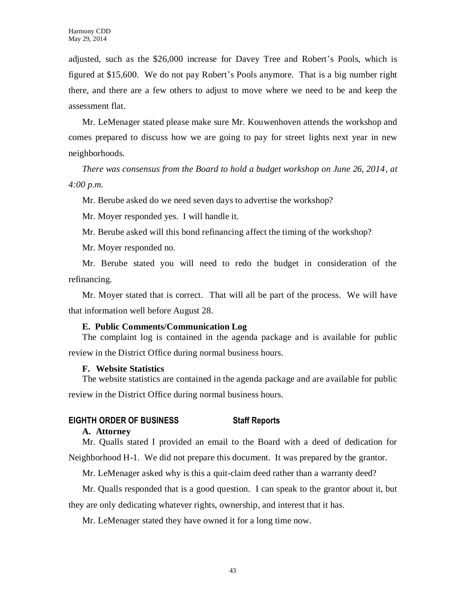adjusted, such as the \$26,000 increase for Davey Tree and Robert's Pools, which is figured at \$15,600. We do not pay Robert's Pools anymore. That is a big number right there, and there are a few others to adjust to move where we need to be and keep the assessment flat.

Mr. LeMenager stated please make sure Mr. Kouwenhoven attends the workshop and comes prepared to discuss how we are going to pay for street lights next year in new neighborhoods.

*There was consensus from the Board to hold a budget workshop on June 26, 2014, at 4:00 p.m.*

Mr. Berube asked do we need seven days to advertise the workshop?

Mr. Moyer responded yes. I will handle it.

Mr. Berube asked will this bond refinancing affect the timing of the workshop?

Mr. Moyer responded no.

Mr. Berube stated you will need to redo the budget in consideration of the refinancing.

Mr. Moyer stated that is correct. That will all be part of the process. We will have that information well before August 28.

## **E. Public Comments/Communication Log**

The complaint log is contained in the agenda package and is available for public

review in the District Office during normal business hours.

## **F. Website Statistics**

The website statistics are contained in the agenda package and are available for public review in the District Office during normal business hours.

## **EIGHTH ORDER OF BUSINESS Staff Reports**

## **A. Attorney**

Mr. Qualls stated I provided an email to the Board with a deed of dedication for Neighborhood H-1. We did not prepare this document. It was prepared by the grantor.

Mr. LeMenager asked why is this a quit-claim deed rather than a warranty deed?

Mr. Qualls responded that is a good question. I can speak to the grantor about it, but they are only dedicating whatever rights, ownership, and interest that it has.

Mr. LeMenager stated they have owned it for a long time now.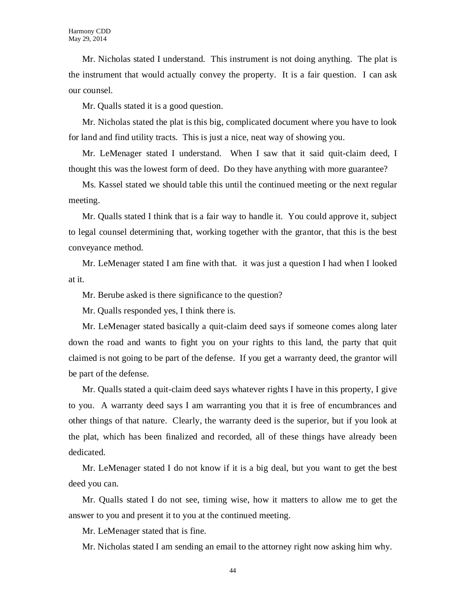Mr. Nicholas stated I understand. This instrument is not doing anything. The plat is the instrument that would actually convey the property. It is a fair question. I can ask our counsel.

Mr. Qualls stated it is a good question.

Mr. Nicholas stated the plat is this big, complicated document where you have to look for land and find utility tracts. This is just a nice, neat way of showing you.

Mr. LeMenager stated I understand. When I saw that it said quit-claim deed, I thought this was the lowest form of deed. Do they have anything with more guarantee?

Ms. Kassel stated we should table this until the continued meeting or the next regular meeting.

Mr. Qualls stated I think that is a fair way to handle it. You could approve it, subject to legal counsel determining that, working together with the grantor, that this is the best conveyance method.

Mr. LeMenager stated I am fine with that. it was just a question I had when I looked at it.

Mr. Berube asked is there significance to the question?

Mr. Qualls responded yes, I think there is.

Mr. LeMenager stated basically a quit-claim deed says if someone comes along later down the road and wants to fight you on your rights to this land, the party that quit claimed is not going to be part of the defense. If you get a warranty deed, the grantor will be part of the defense.

Mr. Qualls stated a quit-claim deed says whatever rights I have in this property, I give to you. A warranty deed says I am warranting you that it is free of encumbrances and other things of that nature. Clearly, the warranty deed is the superior, but if you look at the plat, which has been finalized and recorded, all of these things have already been dedicated.

Mr. LeMenager stated I do not know if it is a big deal, but you want to get the best deed you can.

Mr. Qualls stated I do not see, timing wise, how it matters to allow me to get the answer to you and present it to you at the continued meeting.

Mr. LeMenager stated that is fine.

Mr. Nicholas stated I am sending an email to the attorney right now asking him why.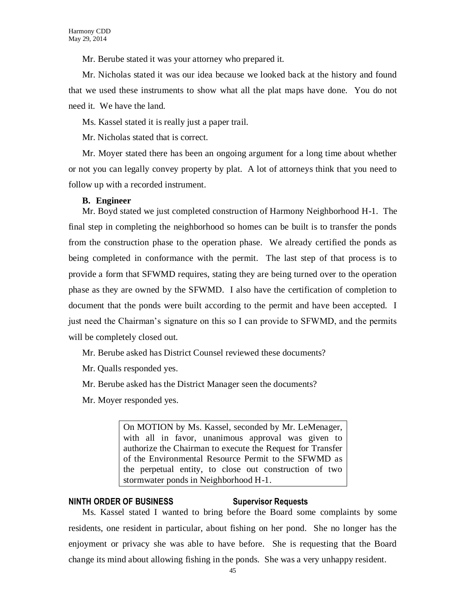Mr. Berube stated it was your attorney who prepared it.

Mr. Nicholas stated it was our idea because we looked back at the history and found that we used these instruments to show what all the plat maps have done. You do not need it. We have the land.

Ms. Kassel stated it is really just a paper trail.

Mr. Nicholas stated that is correct.

Mr. Moyer stated there has been an ongoing argument for a long time about whether or not you can legally convey property by plat. A lot of attorneys think that you need to follow up with a recorded instrument.

## **B. Engineer**

Mr. Boyd stated we just completed construction of Harmony Neighborhood H-1. The final step in completing the neighborhood so homes can be built is to transfer the ponds from the construction phase to the operation phase. We already certified the ponds as being completed in conformance with the permit. The last step of that process is to provide a form that SFWMD requires, stating they are being turned over to the operation phase as they are owned by the SFWMD. I also have the certification of completion to document that the ponds were built according to the permit and have been accepted. I just need the Chairman's signature on this so I can provide to SFWMD, and the permits will be completely closed out.

Mr. Berube asked has District Counsel reviewed these documents?

Mr. Qualls responded yes.

Mr. Berube asked has the District Manager seen the documents?

Mr. Moyer responded yes.

On MOTION by Ms. Kassel, seconded by Mr. LeMenager, with all in favor, unanimous approval was given to authorize the Chairman to execute the Request for Transfer of the Environmental Resource Permit to the SFWMD as the perpetual entity, to close out construction of two stormwater ponds in Neighborhood H-1.

#### **NINTH ORDER OF BUSINESS Supervisor Requests**

Ms. Kassel stated I wanted to bring before the Board some complaints by some residents, one resident in particular, about fishing on her pond. She no longer has the enjoyment or privacy she was able to have before. She is requesting that the Board change its mind about allowing fishing in the ponds. She was a very unhappy resident.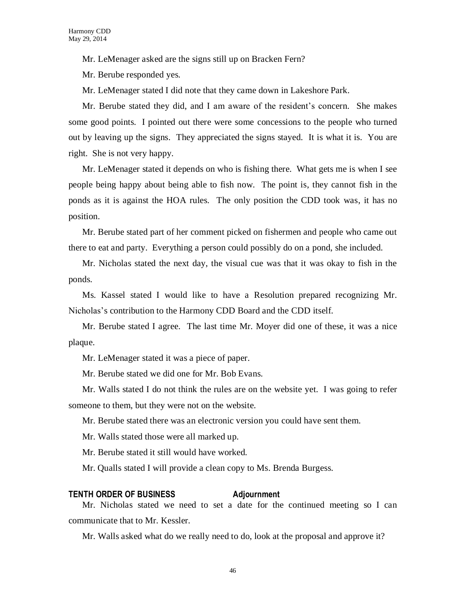Mr. LeMenager asked are the signs still up on Bracken Fern?

Mr. Berube responded yes.

Mr. LeMenager stated I did note that they came down in Lakeshore Park.

Mr. Berube stated they did, and I am aware of the resident's concern. She makes some good points. I pointed out there were some concessions to the people who turned out by leaving up the signs. They appreciated the signs stayed. It is what it is. You are right. She is not very happy.

Mr. LeMenager stated it depends on who is fishing there. What gets me is when I see people being happy about being able to fish now. The point is, they cannot fish in the ponds as it is against the HOA rules. The only position the CDD took was, it has no position.

Mr. Berube stated part of her comment picked on fishermen and people who came out there to eat and party. Everything a person could possibly do on a pond, she included.

Mr. Nicholas stated the next day, the visual cue was that it was okay to fish in the ponds.

Ms. Kassel stated I would like to have a Resolution prepared recognizing Mr. Nicholas's contribution to the Harmony CDD Board and the CDD itself.

Mr. Berube stated I agree. The last time Mr. Moyer did one of these, it was a nice plaque.

Mr. LeMenager stated it was a piece of paper.

Mr. Berube stated we did one for Mr. Bob Evans.

Mr. Walls stated I do not think the rules are on the website yet. I was going to refer someone to them, but they were not on the website.

Mr. Berube stated there was an electronic version you could have sent them.

Mr. Walls stated those were all marked up.

Mr. Berube stated it still would have worked.

Mr. Qualls stated I will provide a clean copy to Ms. Brenda Burgess.

## **TENTH ORDER OF BUSINESS Adjournment**

Mr. Nicholas stated we need to set a date for the continued meeting so I can communicate that to Mr. Kessler.

Mr. Walls asked what do we really need to do, look at the proposal and approve it?